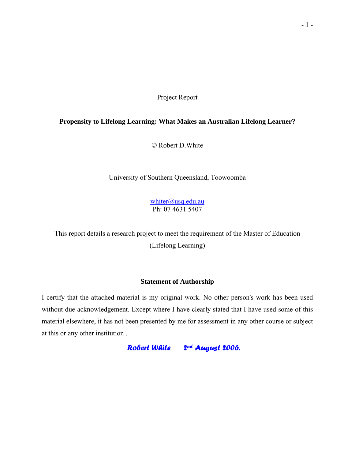Project Report

### **Propensity to Lifelong Learning: What Makes an Australian Lifelong Learner?**

© Robert D.White

University of Southern Queensland, Toowoomba

[whiter@usq.edu.au](mailto:whiter@usq.edu.au) Ph: 07 4631 5407

This report details a research project to meet the requirement of the Master of Education

(Lifelong Learning)

### **Statement of Authorship**

I certify that the attached material is my original work. No other person's work has been used without due acknowledgement. Except where I have clearly stated that I have used some of this material elsewhere, it has not been presented by me for assessment in any other course or subject at this or any other institution .

 *Robert White 2nd August 2006.*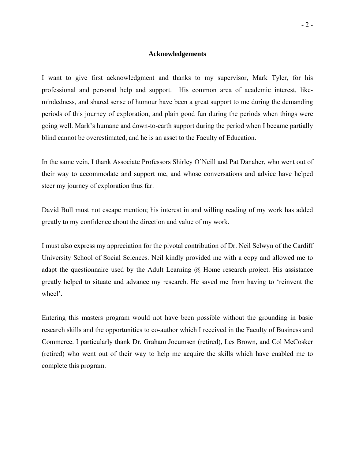#### **Acknowledgements**

I want to give first acknowledgment and thanks to my supervisor, Mark Tyler, for his professional and personal help and support. His common area of academic interest, likemindedness, and shared sense of humour have been a great support to me during the demanding periods of this journey of exploration, and plain good fun during the periods when things were going well. Mark's humane and down-to-earth support during the period when I became partially blind cannot be overestimated, and he is an asset to the Faculty of Education.

In the same vein, I thank Associate Professors Shirley O'Neill and Pat Danaher, who went out of their way to accommodate and support me, and whose conversations and advice have helped steer my journey of exploration thus far.

David Bull must not escape mention; his interest in and willing reading of my work has added greatly to my confidence about the direction and value of my work.

I must also express my appreciation for the pivotal contribution of Dr. Neil Selwyn of the Cardiff University School of Social Sciences. Neil kindly provided me with a copy and allowed me to adapt the questionnaire used by the Adult Learning @ Home research project. His assistance greatly helped to situate and advance my research. He saved me from having to 'reinvent the wheel'.

Entering this masters program would not have been possible without the grounding in basic research skills and the opportunities to co-author which I received in the Faculty of Business and Commerce. I particularly thank Dr. Graham Jocumsen (retired), Les Brown, and Col McCosker (retired) who went out of their way to help me acquire the skills which have enabled me to complete this program.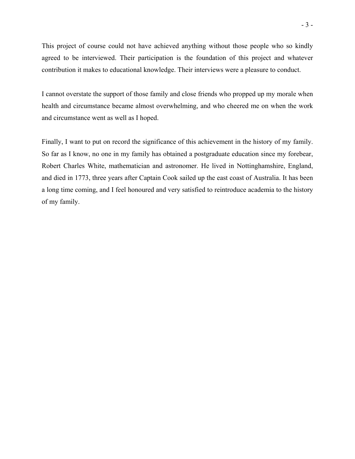This project of course could not have achieved anything without those people who so kindly agreed to be interviewed. Their participation is the foundation of this project and whatever contribution it makes to educational knowledge. Their interviews were a pleasure to conduct.

I cannot overstate the support of those family and close friends who propped up my morale when health and circumstance became almost overwhelming, and who cheered me on when the work and circumstance went as well as I hoped.

Finally, I want to put on record the significance of this achievement in the history of my family. So far as I know, no one in my family has obtained a postgraduate education since my forebear, Robert Charles White, mathematician and astronomer. He lived in Nottinghamshire, England, and died in 1773, three years after Captain Cook sailed up the east coast of Australia. It has been a long time coming, and I feel honoured and very satisfied to reintroduce academia to the history of my family.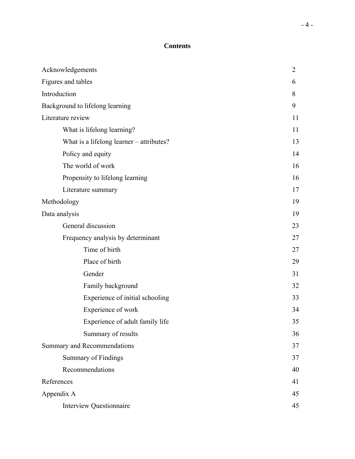# **Contents**

| Acknowledgements                         | $\overline{2}$ |
|------------------------------------------|----------------|
| Figures and tables                       | 6              |
| Introduction                             | 8              |
| Background to lifelong learning          | 9              |
| Literature review                        | 11             |
| What is lifelong learning?               | 11             |
| What is a lifelong learner – attributes? | 13             |
| Policy and equity                        | 14             |
| The world of work                        | 16             |
| Propensity to lifelong learning          | 16             |
| Literature summary                       | 17             |
| Methodology                              | 19             |
| Data analysis                            | 19             |
| General discussion                       | 23             |
| Frequency analysis by determinant        | 27             |
| Time of birth                            | 27             |
| Place of birth                           | 29             |
| Gender                                   | 31             |
| Family background                        | 32             |
| Experience of initial schooling          | 33             |
| Experience of work                       | 34             |
| Experience of adult family life          | 35             |
| Summary of results                       | 36             |
| Summary and Recommendations              | 37             |
| Summary of Findings                      | 37             |
| Recommendations                          | 40             |
| References                               | 41             |
| Appendix A                               | 45             |
| <b>Interview Questionnaire</b>           | 45             |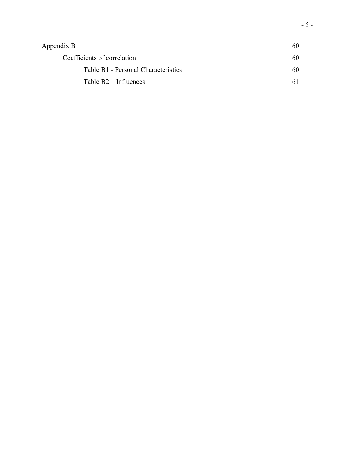| Appendix B                          | 60 |
|-------------------------------------|----|
| Coefficients of correlation         | 60 |
| Table B1 - Personal Characteristics | 60 |
| Table $B2$ – Influences             |    |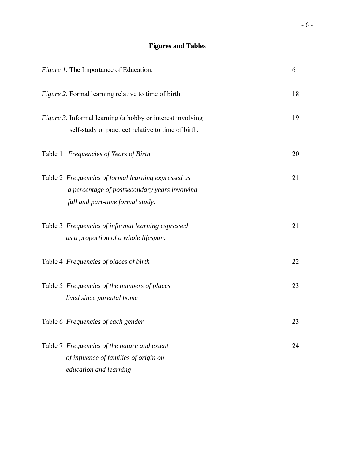# **Figures and Tables**

| <i>Figure 1.</i> The Importance of Education.                                                                                            | 6  |
|------------------------------------------------------------------------------------------------------------------------------------------|----|
| Figure 2. Formal learning relative to time of birth.                                                                                     | 18 |
| Figure 3. Informal learning (a hobby or interest involving<br>self-study or practice) relative to time of birth.                         | 19 |
| Table 1 Frequencies of Years of Birth                                                                                                    | 20 |
| Table 2 Frequencies of formal learning expressed as<br>a percentage of postsecondary years involving<br>full and part-time formal study. | 21 |
| Table 3 Frequencies of informal learning expressed<br>as a proportion of a whole lifespan.                                               | 21 |
| Table 4 Frequencies of places of birth                                                                                                   | 22 |
| Table 5 Frequencies of the numbers of places<br>lived since parental home                                                                | 23 |
| Table 6 Frequencies of each gender                                                                                                       | 23 |
| Table 7 Frequencies of the nature and extent<br>of influence of families of origin on<br>education and learning                          | 24 |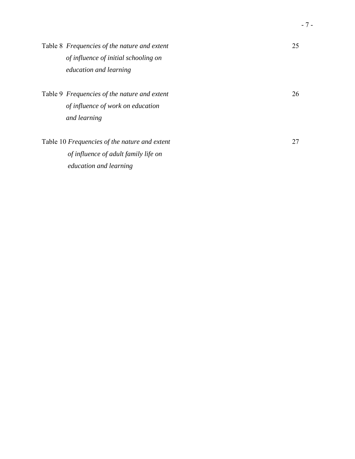| Table 8 Frequencies of the nature and extent  | 25 |
|-----------------------------------------------|----|
| of influence of initial schooling on          |    |
| <i>education and learning</i>                 |    |
| Table 9 Frequencies of the nature and extent  | 26 |
| of influence of work on education             |    |
| and learning                                  |    |
| Table 10 Frequencies of the nature and extent | 27 |
| of influence of adult family life on          |    |
| <i>education and learning</i>                 |    |
|                                               |    |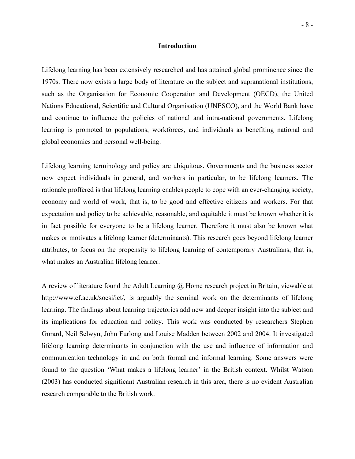#### **Introduction**

Lifelong learning has been extensively researched and has attained global prominence since the 1970s. There now exists a large body of literature on the subject and supranational institutions, such as the Organisation for Economic Cooperation and Development (OECD), the United Nations Educational, Scientific and Cultural Organisation (UNESCO), and the World Bank have and continue to influence the policies of national and intra-national governments. Lifelong learning is promoted to populations, workforces, and individuals as benefiting national and global economies and personal well-being.

Lifelong learning terminology and policy are ubiquitous. Governments and the business sector now expect individuals in general, and workers in particular, to be lifelong learners. The rationale proffered is that lifelong learning enables people to cope with an ever-changing society, economy and world of work, that is, to be good and effective citizens and workers. For that expectation and policy to be achievable, reasonable, and equitable it must be known whether it is in fact possible for everyone to be a lifelong learner. Therefore it must also be known what makes or motivates a lifelong learner (determinants). This research goes beyond lifelong learner attributes, to focus on the propensity to lifelong learning of contemporary Australians, that is, what makes an Australian lifelong learner.

A review of literature found the Adult Learning @ Home research project in Britain, viewable at http://www.cf.ac.uk/socsi/ict/, is arguably the seminal work on the determinants of lifelong learning. The findings about learning trajectories add new and deeper insight into the subject and its implications for education and policy. This work was conducted by researchers Stephen Gorard, Neil Selwyn, John Furlong and Louise Madden between 2002 and 2004. It investigated lifelong learning determinants in conjunction with the use and influence of information and communication technology in and on both formal and informal learning. Some answers were found to the question 'What makes a lifelong learner' in the British context. Whilst Watson (2003) has conducted significant Australian research in this area, there is no evident Australian research comparable to the British work.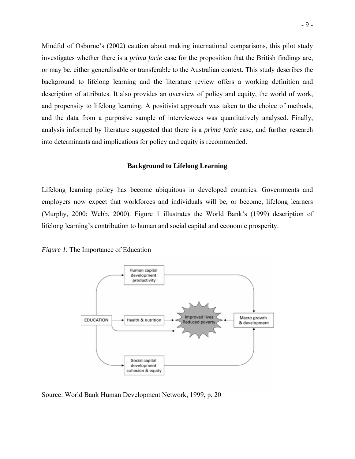Mindful of Osborne's (2002) caution about making international comparisons, this pilot study investigates whether there is a *prima facie* case for the proposition that the British findings are, or may be, either generalisable or transferable to the Australian context. This study describes the background to lifelong learning and the literature review offers a working definition and description of attributes. It also provides an overview of policy and equity, the world of work, and propensity to lifelong learning. A positivist approach was taken to the choice of methods, and the data from a purposive sample of interviewees was quantitatively analysed. Finally, analysis informed by literature suggested that there is a *prima facie* case, and further research into determinants and implications for policy and equity is recommended.

#### **Background to Lifelong Learning**

Lifelong learning policy has become ubiquitous in developed countries. Governments and employers now expect that workforces and individuals will be, or become, lifelong learners (Murphy, 2000; Webb, 2000). Figure 1 illustrates the World Bank's (1999) description of lifelong learning's contribution to human and social capital and economic prosperity.





Source: World Bank Human Development Network, 1999, p. 20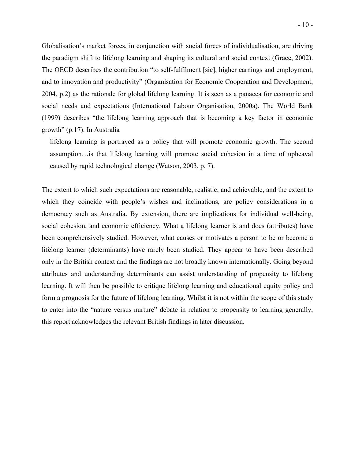Globalisation's market forces, in conjunction with social forces of individualisation, are driving the paradigm shift to lifelong learning and shaping its cultural and social context (Grace, 2002). The OECD describes the contribution "to self-fulfilment [sic], higher earnings and employment, and to innovation and productivity" (Organisation for Economic Cooperation and Development, 2004, p.2) as the rationale for global lifelong learning. It is seen as a panacea for economic and social needs and expectations (International Labour Organisation, 2000a). The World Bank (1999) describes "the lifelong learning approach that is becoming a key factor in economic growth" (p.17). In Australia

lifelong learning is portrayed as a policy that will promote economic growth. The second assumption…is that lifelong learning will promote social cohesion in a time of upheaval caused by rapid technological change (Watson, 2003, p. 7).

The extent to which such expectations are reasonable, realistic, and achievable, and the extent to which they coincide with people's wishes and inclinations, are policy considerations in a democracy such as Australia. By extension, there are implications for individual well-being, social cohesion, and economic efficiency. What a lifelong learner is and does (attributes) have been comprehensively studied. However, what causes or motivates a person to be or become a lifelong learner (determinants) have rarely been studied. They appear to have been described only in the British context and the findings are not broadly known internationally. Going beyond attributes and understanding determinants can assist understanding of propensity to lifelong learning. It will then be possible to critique lifelong learning and educational equity policy and form a prognosis for the future of lifelong learning. Whilst it is not within the scope of this study to enter into the "nature versus nurture" debate in relation to propensity to learning generally, this report acknowledges the relevant British findings in later discussion.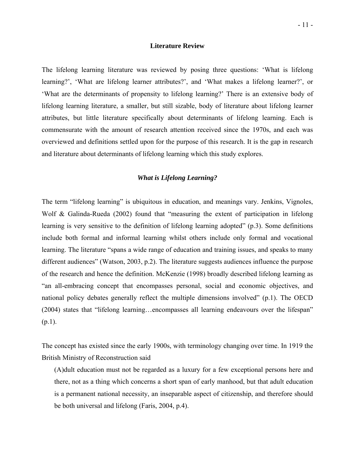### **Literature Review**

The lifelong learning literature was reviewed by posing three questions: 'What is lifelong learning?', 'What are lifelong learner attributes?', and 'What makes a lifelong learner?', or 'What are the determinants of propensity to lifelong learning?' There is an extensive body of lifelong learning literature, a smaller, but still sizable, body of literature about lifelong learner attributes, but little literature specifically about determinants of lifelong learning. Each is commensurate with the amount of research attention received since the 1970s, and each was overviewed and definitions settled upon for the purpose of this research. It is the gap in research and literature about determinants of lifelong learning which this study explores.

### *What is Lifelong Learning?*

The term "lifelong learning" is ubiquitous in education, and meanings vary. Jenkins, Vignoles, Wolf & Galinda-Rueda (2002) found that "measuring the extent of participation in lifelong learning is very sensitive to the definition of lifelong learning adopted" (p.3). Some definitions include both formal and informal learning whilst others include only formal and vocational learning. The literature "spans a wide range of education and training issues, and speaks to many different audiences" (Watson, 2003, p.2). The literature suggests audiences influence the purpose of the research and hence the definition. McKenzie (1998) broadly described lifelong learning as "an all-embracing concept that encompasses personal, social and economic objectives, and national policy debates generally reflect the multiple dimensions involved" (p.1). The OECD (2004) states that "lifelong learning…encompasses all learning endeavours over the lifespan"  $(p.1)$ .

The concept has existed since the early 1900s, with terminology changing over time. In 1919 the British Ministry of Reconstruction said

(A)dult education must not be regarded as a luxury for a few exceptional persons here and there, not as a thing which concerns a short span of early manhood, but that adult education is a permanent national necessity, an inseparable aspect of citizenship, and therefore should be both universal and lifelong (Faris, 2004, p.4).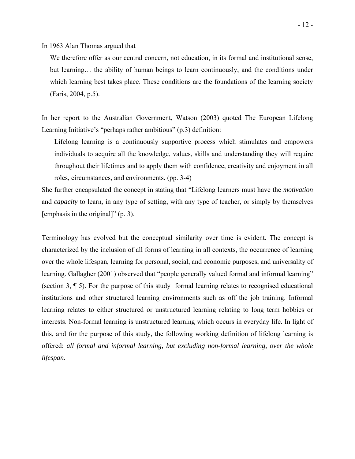In 1963 Alan Thomas argued that

We therefore offer as our central concern, not education, in its formal and institutional sense, but learning… the ability of human beings to learn continuously, and the conditions under which learning best takes place. These conditions are the foundations of the learning society (Faris, 2004, p.5).

In her report to the Australian Government, Watson (2003) quoted The European Lifelong Learning Initiative's "perhaps rather ambitious" (p.3) definition:

Lifelong learning is a continuously supportive process which stimulates and empowers individuals to acquire all the knowledge, values, skills and understanding they will require throughout their lifetimes and to apply them with confidence, creativity and enjoyment in all roles, circumstances, and environments. (pp. 3-4)

She further encapsulated the concept in stating that "Lifelong learners must have the *motivation*  and *capacity* to learn*,* in any type of setting, with any type of teacher, or simply by themselves [emphasis in the original]" (p. 3).

Terminology has evolved but the conceptual similarity over time is evident. The concept is characterized by the inclusion of all forms of learning in all contexts, the occurrence of learning over the whole lifespan, learning for personal, social, and economic purposes, and universality of learning. Gallagher (2001) observed that "people generally valued formal and informal learning" (section 3, ¶ 5). For the purpose of this study formal learning relates to recognised educational institutions and other structured learning environments such as off the job training. Informal learning relates to either structured or unstructured learning relating to long term hobbies or interests. Non-formal learning is unstructured learning which occurs in everyday life. In light of this, and for the purpose of this study, the following working definition of lifelong learning is offered: *all formal and informal learning, but excluding non-formal learning, over the whole lifespan*.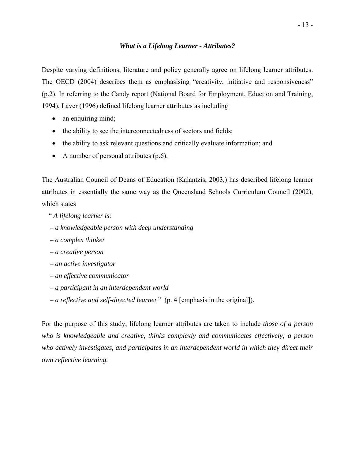### *What is a Lifelong Learner - Attributes?*

Despite varying definitions, literature and policy generally agree on lifelong learner attributes. The OECD (2004) describes them as emphasising "creativity, initiative and responsiveness" (p.2). In referring to the Candy report (National Board for Employment, Eduction and Training, 1994), Laver (1996) defined lifelong learner attributes as including

- an enquiring mind;
- the ability to see the interconnectedness of sectors and fields;
- the ability to ask relevant questions and critically evaluate information; and
- A number of personal attributes (p.6).

The Australian Council of Deans of Education (Kalantzis, 2003,) has described lifelong learner attributes in essentially the same way as the Queensland Schools Curriculum Council (2002), which states

- " *A lifelong learner is:*
- *a knowledgeable person with deep understanding*
- *a complex thinker*
- *a creative person*
- *an active investigator*
- *an effective communicator*
- *a participant in an interdependent world*
- *a reflective and self-directed learner"* (p. 4 [emphasis in the original]).

For the purpose of this study, lifelong learner attributes are taken to include *those of a person who is knowledgeable and creative, thinks complexly and communicates effectively; a person who actively investigates, and participates in an interdependent world in which they direct their own reflective learning.*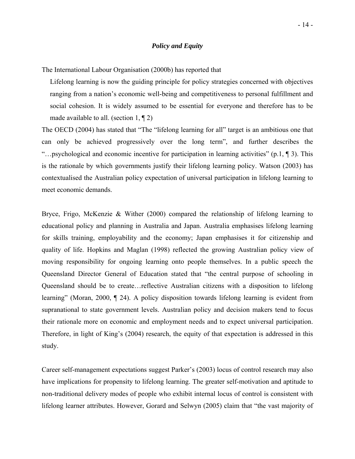### *Policy and Equity*

The International Labour Organisation (2000b) has reported that

Lifelong learning is now the guiding principle for policy strategies concerned with objectives ranging from a nation's economic well-being and competitiveness to personal fulfillment and social cohesion. It is widely assumed to be essential for everyone and therefore has to be made available to all. (section  $1, \P 2$ )

The OECD (2004) has stated that "The "lifelong learning for all" target is an ambitious one that can only be achieved progressively over the long term", and further describes the "…psychological and economic incentive for participation in learning activities" (p.1, ¶ 3). This is the rationale by which governments justify their lifelong learning policy. Watson (2003) has contextualised the Australian policy expectation of universal participation in lifelong learning to meet economic demands.

Bryce, Frigo, McKenzie & Wither (2000) compared the relationship of lifelong learning to educational policy and planning in Australia and Japan. Australia emphasises lifelong learning for skills training, employability and the economy; Japan emphasises it for citizenship and quality of life. Hopkins and Maglan (1998) reflected the growing Australian policy view of moving responsibility for ongoing learning onto people themselves. In a public speech the Queensland Director General of Education stated that "the central purpose of schooling in Queensland should be to create…reflective Australian citizens with a disposition to lifelong learning" (Moran, 2000, ¶ 24). A policy disposition towards lifelong learning is evident from supranational to state government levels. Australian policy and decision makers tend to focus their rationale more on economic and employment needs and to expect universal participation. Therefore, in light of King's (2004) research, the equity of that expectation is addressed in this study.

Career self-management expectations suggest Parker's (2003) locus of control research may also have implications for propensity to lifelong learning. The greater self-motivation and aptitude to non-traditional delivery modes of people who exhibit internal locus of control is consistent with lifelong learner attributes. However, Gorard and Selwyn (2005) claim that "the vast majority of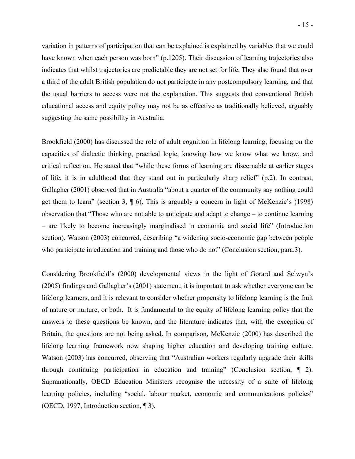variation in patterns of participation that can be explained is explained by variables that we could have known when each person was born" (p.1205). Their discussion of learning trajectories also indicates that whilst trajectories are predictable they are not set for life. They also found that over a third of the adult British population do not participate in any postcompulsory learning, and that the usual barriers to access were not the explanation. This suggests that conventional British educational access and equity policy may not be as effective as traditionally believed, arguably suggesting the same possibility in Australia.

Brookfield (2000) has discussed the role of adult cognition in lifelong learning, focusing on the capacities of dialectic thinking, practical logic, knowing how we know what we know, and critical reflection. He stated that "while these forms of learning are discernable at earlier stages of life, it is in adulthood that they stand out in particularly sharp relief" (p.2). In contrast, Gallagher (2001) observed that in Australia "about a quarter of the community say nothing could get them to learn" (section 3, ¶ 6). This is arguably a concern in light of McKenzie's (1998) observation that "Those who are not able to anticipate and adapt to change – to continue learning – are likely to become increasingly marginalised in economic and social life" (Introduction section). Watson (2003) concurred, describing "a widening socio-economic gap between people who participate in education and training and those who do not" (Conclusion section, para.3).

Considering Brookfield's (2000) developmental views in the light of Gorard and Selwyn's (2005) findings and Gallagher's (2001) statement, it is important to ask whether everyone can be lifelong learners, and it is relevant to consider whether propensity to lifelong learning is the fruit of nature or nurture, or both. It is fundamental to the equity of lifelong learning policy that the answers to these questions be known, and the literature indicates that, with the exception of Britain, the questions are not being asked. In comparison, McKenzie (2000) has described the lifelong learning framework now shaping higher education and developing training culture. Watson (2003) has concurred, observing that "Australian workers regularly upgrade their skills through continuing participation in education and training" (Conclusion section, ¶ 2). Supranationally, OECD Education Ministers recognise the necessity of a suite of lifelong learning policies, including "social, labour market, economic and communications policies" (OECD, 1997, Introduction section, ¶ 3).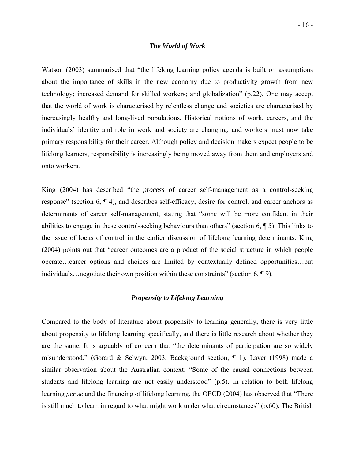### *The World of Work*

Watson (2003) summarised that "the lifelong learning policy agenda is built on assumptions about the importance of skills in the new economy due to productivity growth from new technology; increased demand for skilled workers; and globalization" (p.22). One may accept that the world of work is characterised by relentless change and societies are characterised by increasingly healthy and long-lived populations. Historical notions of work, careers, and the individuals' identity and role in work and society are changing, and workers must now take primary responsibility for their career. Although policy and decision makers expect people to be lifelong learners, responsibility is increasingly being moved away from them and employers and onto workers.

King (2004) has described "the *process* of career self-management as a control-seeking response" (section 6, ¶ 4), and describes self-efficacy, desire for control, and career anchors as determinants of career self-management, stating that "some will be more confident in their abilities to engage in these control-seeking behaviours than others" (section 6, ¶ 5). This links to the issue of locus of control in the earlier discussion of lifelong learning determinants. King (2004) points out that "career outcomes are a product of the social structure in which people operate…career options and choices are limited by contextually defined opportunities…but individuals…negotiate their own position within these constraints" (section 6, ¶ 9).

### *Propensity to Lifelong Learning*

Compared to the body of literature about propensity to learning generally, there is very little about propensity to lifelong learning specifically, and there is little research about whether they are the same. It is arguably of concern that "the determinants of participation are so widely misunderstood." (Gorard & Selwyn, 2003, Background section, ¶ 1). Laver (1998) made a similar observation about the Australian context: "Some of the causal connections between students and lifelong learning are not easily understood" (p.5). In relation to both lifelong learning *per se* and the financing of lifelong learning, the OECD (2004) has observed that "There is still much to learn in regard to what might work under what circumstances" (p.60). The British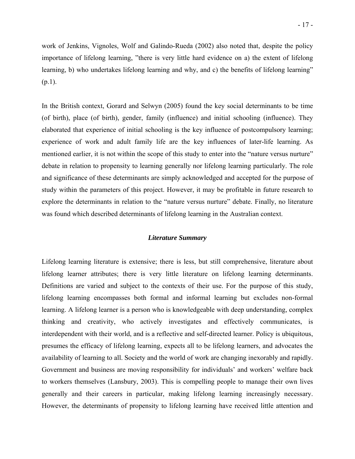work of Jenkins, Vignoles, Wolf and Galindo-Rueda (2002) also noted that, despite the policy importance of lifelong learning, "there is very little hard evidence on a) the extent of lifelong learning, b) who undertakes lifelong learning and why, and c) the benefits of lifelong learning"  $(p.1)$ .

In the British context, Gorard and Selwyn (2005) found the key social determinants to be time (of birth), place (of birth), gender, family (influence) and initial schooling (influence). They elaborated that experience of initial schooling is the key influence of postcompulsory learning; experience of work and adult family life are the key influences of later-life learning. As mentioned earlier, it is not within the scope of this study to enter into the "nature versus nurture" debate in relation to propensity to learning generally nor lifelong learning particularly. The role and significance of these determinants are simply acknowledged and accepted for the purpose of study within the parameters of this project. However, it may be profitable in future research to explore the determinants in relation to the "nature versus nurture" debate. Finally, no literature was found which described determinants of lifelong learning in the Australian context.

### *Literature Summary*

Lifelong learning literature is extensive; there is less, but still comprehensive, literature about lifelong learner attributes; there is very little literature on lifelong learning determinants. Definitions are varied and subject to the contexts of their use. For the purpose of this study, lifelong learning encompasses both formal and informal learning but excludes non-formal learning. A lifelong learner is a person who is knowledgeable with deep understanding, complex thinking and creativity, who actively investigates and effectively communicates, is interdependent with their world, and is a reflective and self-directed learner. Policy is ubiquitous, presumes the efficacy of lifelong learning, expects all to be lifelong learners, and advocates the availability of learning to all. Society and the world of work are changing inexorably and rapidly. Government and business are moving responsibility for individuals' and workers' welfare back to workers themselves (Lansbury, 2003). This is compelling people to manage their own lives generally and their careers in particular, making lifelong learning increasingly necessary. However, the determinants of propensity to lifelong learning have received little attention and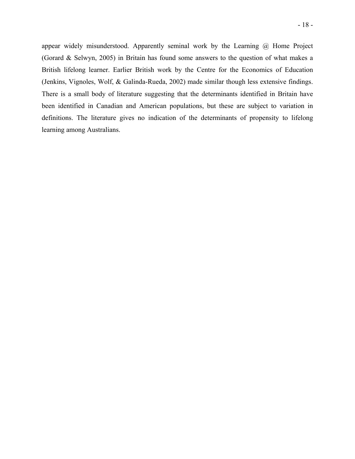- 18 -

appear widely misunderstood. Apparently seminal work by the Learning @ Home Project (Gorard & Selwyn, 2005) in Britain has found some answers to the question of what makes a British lifelong learner. Earlier British work by the Centre for the Economics of Education (Jenkins, Vignoles, Wolf, & Galinda-Rueda, 2002) made similar though less extensive findings. There is a small body of literature suggesting that the determinants identified in Britain have been identified in Canadian and American populations, but these are subject to variation in definitions. The literature gives no indication of the determinants of propensity to lifelong learning among Australians.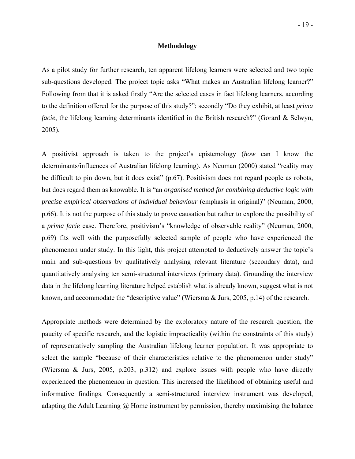### **Methodology**

As a pilot study for further research, ten apparent lifelong learners were selected and two topic sub-questions developed. The project topic asks "What makes an Australian lifelong learner?" Following from that it is asked firstly "Are the selected cases in fact lifelong learners, according to the definition offered for the purpose of this study?"; secondly "Do they exhibit, at least *prima facie*, the lifelong learning determinants identified in the British research?" (Gorard & Selwyn, 2005).

A positivist approach is taken to the project's epistemology (*how* can I know the determinants/influences of Australian lifelong learning). As Neuman (2000) stated "reality may be difficult to pin down, but it does exist" (p.67). Positivism does not regard people as robots, but does regard them as knowable. It is "an *organised method for combining deductive logic with precise empirical observations of individual behaviour* (emphasis in original)" (Neuman, 2000, p.66). It is not the purpose of this study to prove causation but rather to explore the possibility of a *prima facie* case. Therefore, positivism's "knowledge of observable reality" (Neuman, 2000, p.69) fits well with the purposefully selected sample of people who have experienced the phenomenon under study. In this light, this project attempted to deductively answer the topic's main and sub-questions by qualitatively analysing relevant literature (secondary data), and quantitatively analysing ten semi-structured interviews (primary data). Grounding the interview data in the lifelong learning literature helped establish what is already known, suggest what is not known, and accommodate the "descriptive value" (Wiersma & Jurs, 2005, p.14) of the research.

Appropriate methods were determined by the exploratory nature of the research question, the paucity of specific research, and the logistic impracticality (within the constraints of this study) of representatively sampling the Australian lifelong learner population. It was appropriate to select the sample "because of their characteristics relative to the phenomenon under study" (Wiersma & Jurs, 2005, p.203; p.312) and explore issues with people who have directly experienced the phenomenon in question. This increased the likelihood of obtaining useful and informative findings. Consequently a semi-structured interview instrument was developed, adapting the Adult Learning  $\omega$  Home instrument by permission, thereby maximising the balance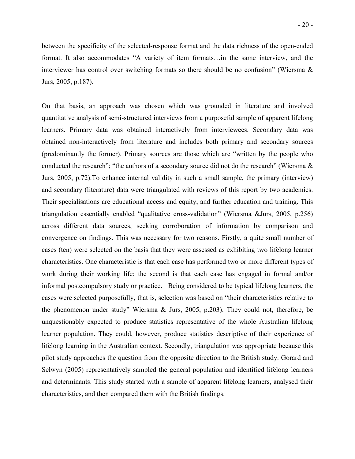between the specificity of the selected-response format and the data richness of the open-ended format. It also accommodates "A variety of item formats…in the same interview, and the interviewer has control over switching formats so there should be no confusion" (Wiersma & Jurs, 2005, p.187).

On that basis, an approach was chosen which was grounded in literature and involved quantitative analysis of semi-structured interviews from a purposeful sample of apparent lifelong learners. Primary data was obtained interactively from interviewees. Secondary data was obtained non-interactively from literature and includes both primary and secondary sources (predominantly the former). Primary sources are those which are "written by the people who conducted the research"; "the authors of a secondary source did not do the research" (Wiersma & Jurs, 2005, p.72).To enhance internal validity in such a small sample, the primary (interview) and secondary (literature) data were triangulated with reviews of this report by two academics. Their specialisations are educational access and equity, and further education and training. This triangulation essentially enabled "qualitative cross-validation" (Wiersma &Jurs, 2005, p.256) across different data sources, seeking corroboration of information by comparison and convergence on findings. This was necessary for two reasons. Firstly, a quite small number of cases (ten) were selected on the basis that they were assessed as exhibiting two lifelong learner characteristics. One characteristic is that each case has performed two or more different types of work during their working life; the second is that each case has engaged in formal and/or informal postcompulsory study or practice. Being considered to be typical lifelong learners, the cases were selected purposefully, that is, selection was based on "their characteristics relative to the phenomenon under study" Wiersma & Jurs, 2005, p.203). They could not, therefore, be unquestionably expected to produce statistics representative of the whole Australian lifelong learner population. They could, however, produce statistics descriptive of their experience of lifelong learning in the Australian context. Secondly, triangulation was appropriate because this pilot study approaches the question from the opposite direction to the British study. Gorard and Selwyn (2005) representatively sampled the general population and identified lifelong learners and determinants. This study started with a sample of apparent lifelong learners, analysed their characteristics, and then compared them with the British findings.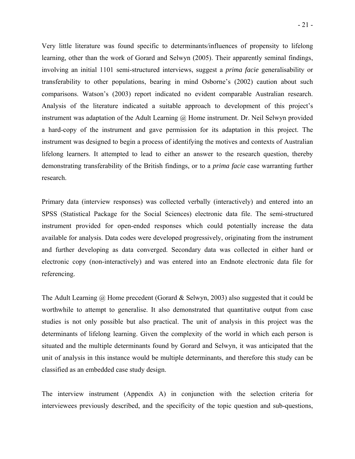Very little literature was found specific to determinants/influences of propensity to lifelong learning, other than the work of Gorard and Selwyn (2005). Their apparently seminal findings, involving an initial 1101 semi-structured interviews, suggest a *prima facie* generalisability or transferability to other populations, bearing in mind Osborne's (2002) caution about such comparisons. Watson's (2003) report indicated no evident comparable Australian research. Analysis of the literature indicated a suitable approach to development of this project's instrument was adaptation of the Adult Learning @ Home instrument. Dr. Neil Selwyn provided a hard-copy of the instrument and gave permission for its adaptation in this project. The instrument was designed to begin a process of identifying the motives and contexts of Australian lifelong learners. It attempted to lead to either an answer to the research question, thereby demonstrating transferability of the British findings, or to a *prima facie* case warranting further research.

Primary data (interview responses) was collected verbally (interactively) and entered into an SPSS (Statistical Package for the Social Sciences) electronic data file. The semi-structured instrument provided for open-ended responses which could potentially increase the data available for analysis. Data codes were developed progressively, originating from the instrument and further developing as data converged. Secondary data was collected in either hard or electronic copy (non-interactively) and was entered into an Endnote electronic data file for referencing.

The Adult Learning @ Home precedent (Gorard & Selwyn, 2003) also suggested that it could be worthwhile to attempt to generalise. It also demonstrated that quantitative output from case studies is not only possible but also practical. The unit of analysis in this project was the determinants of lifelong learning. Given the complexity of the world in which each person is situated and the multiple determinants found by Gorard and Selwyn, it was anticipated that the unit of analysis in this instance would be multiple determinants, and therefore this study can be classified as an embedded case study design.

The interview instrument (Appendix A) in conjunction with the selection criteria for interviewees previously described, and the specificity of the topic question and sub-questions,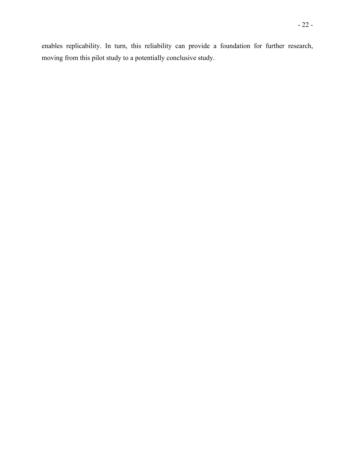enables replicability. In turn, this reliability can provide a foundation for further research, moving from this pilot study to a potentially conclusive study.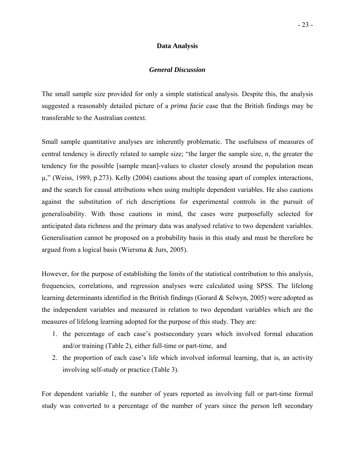### **Data Analysis**

### *General Discussion*

The small sample size provided for only a simple statistical analysis. Despite this, the analysis suggested a reasonably detailed picture of a *prima facie* case that the British findings may be transferable to the Australian context.

Small sample quantitative analyses are inherently problematic. The usefulness of measures of central tendency is directly related to sample size; "the larger the sample size, *n*, the greater the tendency for the possible [sample mean]-values to cluster closely around the population mean µ," (Weiss, 1989, p.273). Kelly (2004) cautions about the teasing apart of complex interactions, and the search for causal attributions when using multiple dependent variables. He also cautions against the substitution of rich descriptions for experimental controls in the pursuit of generalisability. With those cautions in mind, the cases were purposefully selected for anticipated data richness and the primary data was analysed relative to two dependent variables. Generalisation cannot be proposed on a probability basis in this study and must be therefore be argued from a logical basis (Wiersma & Jurs, 2005).

However, for the purpose of establishing the limits of the statistical contribution to this analysis, frequencies, correlations, and regression analyses were calculated using SPSS. The lifelong learning determinants identified in the British findings (Gorard & Selwyn, 2005) were adopted as the independent variables and measured in relation to two dependant variables which are the measures of lifelong learning adopted for the purpose of this study. They are:

- 1. the percentage of each case's postsecondary years which involved formal education and/or training (Table 2), either full-time or part-time, and
- 2. the proportion of each case's life which involved informal learning, that is, an activity involving self-study or practice (Table 3).

For dependent variable 1, the number of years reported as involving full or part-time formal study was converted to a percentage of the number of years since the person left secondary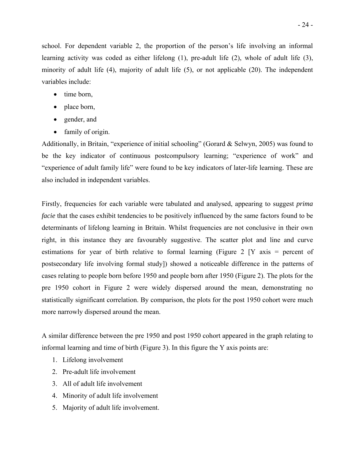school. For dependent variable 2, the proportion of the person's life involving an informal learning activity was coded as either lifelong (1), pre-adult life (2), whole of adult life (3), minority of adult life (4), majority of adult life (5), or not applicable (20). The independent variables include:

- time born,
- place born,
- gender, and
- family of origin.

Additionally, in Britain, "experience of initial schooling" (Gorard & Selwyn, 2005) was found to be the key indicator of continuous postcompulsory learning; "experience of work" and "experience of adult family life" were found to be key indicators of later-life learning. These are also included in independent variables.

Firstly, frequencies for each variable were tabulated and analysed, appearing to suggest *prima facie* that the cases exhibit tendencies to be positively influenced by the same factors found to be determinants of lifelong learning in Britain. Whilst frequencies are not conclusive in their own right, in this instance they are favourably suggestive. The scatter plot and line and curve estimations for year of birth relative to formal learning (Figure 2 [Y axis = percent of postsecondary life involving formal study]) showed a noticeable difference in the patterns of cases relating to people born before 1950 and people born after 1950 (Figure 2). The plots for the pre 1950 cohort in Figure 2 were widely dispersed around the mean, demonstrating no statistically significant correlation. By comparison, the plots for the post 1950 cohort were much more narrowly dispersed around the mean.

A similar difference between the pre 1950 and post 1950 cohort appeared in the graph relating to informal learning and time of birth (Figure 3). In this figure the Y axis points are:

- 1. Lifelong involvement
- 2. Pre-adult life involvement
- 3. All of adult life involvement
- 4. Minority of adult life involvement
- 5. Majority of adult life involvement.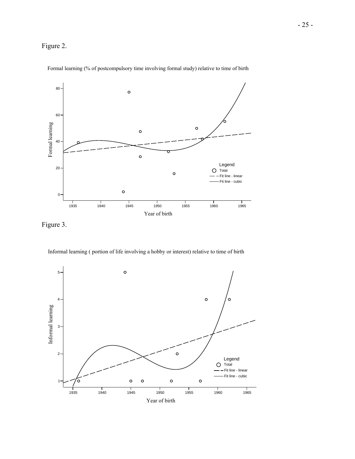



Formal learning (% of postcompulsory time involving formal study) relative to time of birth

Figure 3.

Informal learning ( portion of life involving a hobby or interest) relative to time of birth

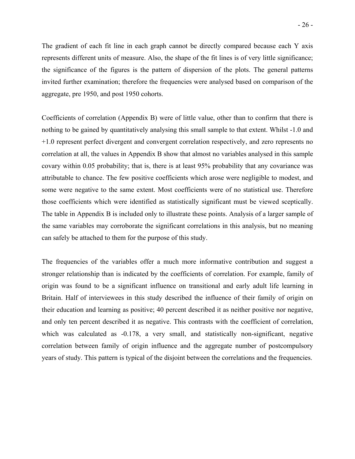The gradient of each fit line in each graph cannot be directly compared because each Y axis represents different units of measure. Also, the shape of the fit lines is of very little significance; the significance of the figures is the pattern of dispersion of the plots. The general patterns invited further examination; therefore the frequencies were analysed based on comparison of the aggregate, pre 1950, and post 1950 cohorts.

Coefficients of correlation (Appendix B) were of little value, other than to confirm that there is nothing to be gained by quantitatively analysing this small sample to that extent. Whilst -1.0 and +1.0 represent perfect divergent and convergent correlation respectively, and zero represents no correlation at all, the values in Appendix B show that almost no variables analysed in this sample covary within 0.05 probability; that is, there is at least 95% probability that any covariance was attributable to chance. The few positive coefficients which arose were negligible to modest, and some were negative to the same extent. Most coefficients were of no statistical use. Therefore those coefficients which were identified as statistically significant must be viewed sceptically. The table in Appendix B is included only to illustrate these points. Analysis of a larger sample of the same variables may corroborate the significant correlations in this analysis, but no meaning can safely be attached to them for the purpose of this study.

The frequencies of the variables offer a much more informative contribution and suggest a stronger relationship than is indicated by the coefficients of correlation. For example, family of origin was found to be a significant influence on transitional and early adult life learning in Britain. Half of interviewees in this study described the influence of their family of origin on their education and learning as positive; 40 percent described it as neither positive nor negative, and only ten percent described it as negative. This contrasts with the coefficient of correlation, which was calculated as -0.178, a very small, and statistically non-significant, negative correlation between family of origin influence and the aggregate number of postcompulsory years of study. This pattern is typical of the disjoint between the correlations and the frequencies.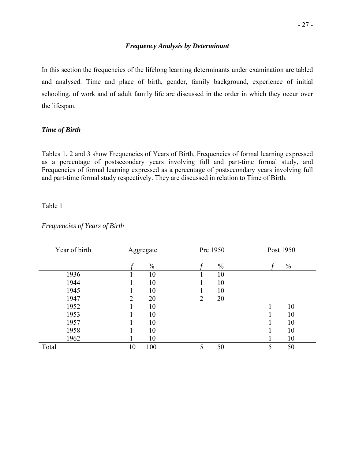### *Frequency Analysis by Determinant*

In this section the frequencies of the lifelong learning determinants under examination are tabled and analysed. Time and place of birth, gender, family background, experience of initial schooling, of work and of adult family life are discussed in the order in which they occur over the lifespan.

### *Time of Birth*

Tables 1, 2 and 3 show Frequencies of Years of Birth, Frequencies of formal learning expressed as a percentage of postsecondary years involving full and part-time formal study, and Frequencies of formal learning expressed as a percentage of postsecondary years involving full and part-time formal study respectively. They are discussed in relation to Time of Birth.

### Table 1

| Year of birth | Aggregate     | Pre 1950      | Post 1950 |
|---------------|---------------|---------------|-----------|
|               | $\frac{0}{0}$ | $\frac{0}{0}$ | $\%$      |
| 1936          | 10            | 10            |           |
|               |               |               |           |
| 1944          | 10            | 10            |           |
| 1945          | 10            | 10            |           |
| 1947          | 20<br>2       | 20<br>2       |           |
| 1952          | 10            |               | 10        |
| 1953          | 10            |               | 10        |
| 1957          | 10            |               | 10        |
| 1958          | 10            |               | 10        |
| 1962          | 10            |               | 10        |
| Total         | 100<br>10     | 5<br>50       | 50<br>5   |

*Frequencies of Years of Birth*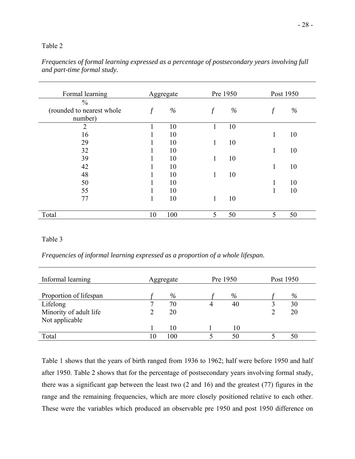### Table 2

| Formal learning           |              | Aggregate | Pre 1950 |      |              | Post 1950 |
|---------------------------|--------------|-----------|----------|------|--------------|-----------|
| $\frac{0}{0}$             |              |           |          |      |              |           |
| (rounded to nearest whole | $\int$       | $\%$      | $\int$   | $\%$ |              | $\%$      |
| number)                   |              |           |          |      |              |           |
| $\overline{2}$            |              | 10        | 1        | 10   |              |           |
| 16                        | -1           | 10        |          |      | 1            | 10        |
| 29                        |              | 10        | 1        | 10   |              |           |
| 32                        |              | 10        |          |      | 1            | 10        |
| 39                        | 1            | 10        | 1        | 10   |              |           |
| 42                        |              | 10        |          |      | $\mathbf{1}$ | 10        |
| 48                        | 1            | 10        | 1        | 10   |              |           |
| 50                        | -1           | 10        |          |      | 1            | 10        |
| 55                        | ш            | 10        |          |      |              | 10        |
| 77                        | $\mathbf{1}$ | 10        | 1        | 10   |              |           |
| Total                     | 10           | 100       | 5        | 50   | 5            | 50        |
|                           |              |           |          |      |              |           |

*Frequencies of formal learning expressed as a percentage of postsecondary years involving full and part-time formal study.* 

### Table 3

*Frequencies of informal learning expressed as a proportion of a whole lifespan.*

| Informal learning      |    | Aggregate | Pre 1950 |    | Post 1950 |
|------------------------|----|-----------|----------|----|-----------|
| Proportion of lifespan |    | $\%$      |          | %  | $\%$      |
| Lifelong               | −  | 70        |          | 40 | 30        |
| Minority of adult life |    | 20        |          |    | 20        |
| Not applicable         |    |           |          |    |           |
|                        |    | 10        |          | 10 |           |
| Total                  | 10 | 100       |          | 50 | 50        |

Table 1 shows that the years of birth ranged from 1936 to 1962; half were before 1950 and half after 1950. Table 2 shows that for the percentage of postsecondary years involving formal study, there was a significant gap between the least two (2 and 16) and the greatest (77) figures in the range and the remaining frequencies, which are more closely positioned relative to each other. These were the variables which produced an observable pre 1950 and post 1950 difference on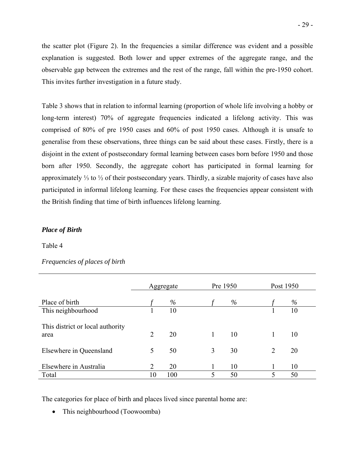the scatter plot (Figure 2). In the frequencies a similar difference was evident and a possible explanation is suggested. Both lower and upper extremes of the aggregate range, and the observable gap between the extremes and the rest of the range, fall within the pre-1950 cohort. This invites further investigation in a future study.

Table 3 shows that in relation to informal learning (proportion of whole life involving a hobby or long-term interest) 70% of aggregate frequencies indicated a lifelong activity. This was comprised of 80% of pre 1950 cases and 60% of post 1950 cases. Although it is unsafe to generalise from these observations, three things can be said about these cases. Firstly, there is a disjoint in the extent of postsecondary formal learning between cases born before 1950 and those born after 1950. Secondly, the aggregate cohort has participated in formal learning for approximately ⅓ to ½ of their postsecondary years. Thirdly, a sizable majority of cases have also participated in informal lifelong learning. For these cases the frequencies appear consistent with the British finding that time of birth influences lifelong learning.

### *Place of Birth*

### Table 4

### *Frequencies of places of birth*

|                                          |                | Aggregate |   | Pre 1950 |   | Post 1950 |  |
|------------------------------------------|----------------|-----------|---|----------|---|-----------|--|
| Place of birth                           |                | $\%$      |   | $\%$     |   | $\%$      |  |
| This neighbourhood                       |                | 10        |   |          |   | 10        |  |
| This district or local authority<br>area | $\overline{2}$ | 20        | 1 | 10       |   | 10        |  |
| Elsewhere in Queensland                  | 5              | 50        | 3 | 30       | 2 | 20        |  |
| Elsewhere in Australia                   | 2              | 20        |   | 10       |   | 10        |  |
| Total                                    | 10             | 100       | 5 | 50       | 5 | 50        |  |

The categories for place of birth and places lived since parental home are:

• This neighbourhood (Toowoomba)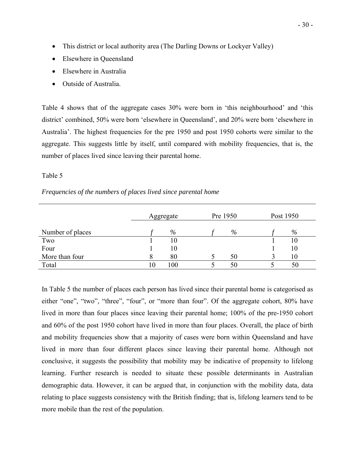- This district or local authority area (The Darling Downs or Lockyer Valley)
- Elsewhere in Queensland
- Elsewhere in Australia
- Outside of Australia.

Table 4 shows that of the aggregate cases 30% were born in 'this neighbourhood' and 'this district' combined, 50% were born 'elsewhere in Queensland', and 20% were born 'elsewhere in Australia'. The highest frequencies for the pre 1950 and post 1950 cohorts were similar to the aggregate. This suggests little by itself, until compared with mobility frequencies, that is, the number of places lived since leaving their parental home.

### Table 5

### *Frequencies of the numbers of places lived since parental home*

|                  | Aggregate |     | Pre 1950 |    | Post 1950 |
|------------------|-----------|-----|----------|----|-----------|
| Number of places |           | %   |          | %  | %         |
| Two              |           | 10  |          |    | 10        |
| Four             |           | 10  |          |    | 10        |
| More than four   | 8         | 80  |          | 50 | 10        |
| Total            | 10        | 100 |          | 50 | 50        |

In Table 5 the number of places each person has lived since their parental home is categorised as either "one", "two", "three", "four", or "more than four". Of the aggregate cohort, 80% have lived in more than four places since leaving their parental home; 100% of the pre-1950 cohort and 60% of the post 1950 cohort have lived in more than four places. Overall, the place of birth and mobility frequencies show that a majority of cases were born within Queensland and have lived in more than four different places since leaving their parental home. Although not conclusive, it suggests the possibility that mobility may be indicative of propensity to lifelong learning. Further research is needed to situate these possible determinants in Australian demographic data. However, it can be argued that, in conjunction with the mobility data, data relating to place suggests consistency with the British finding; that is, lifelong learners tend to be more mobile than the rest of the population.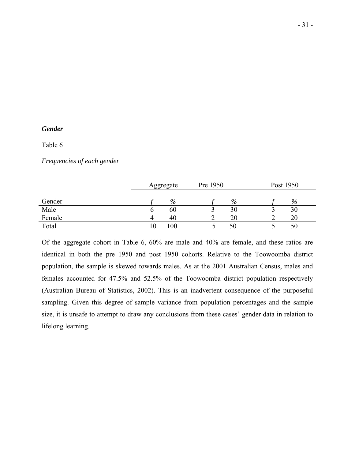### *Gender*

### Table 6

*Frequencies of each gender*

|        |    | Aggregate | Pre 1950 |    | Post 1950 |
|--------|----|-----------|----------|----|-----------|
| Gender |    | %         |          | %  | $\%$      |
| Male   | v  | 60        |          | 30 | 30        |
| Female | 4  | 40        |          | 20 | 20        |
| Total  | 10 | 100       |          | 50 | 50        |

Of the aggregate cohort in Table 6, 60% are male and 40% are female, and these ratios are identical in both the pre 1950 and post 1950 cohorts. Relative to the Toowoomba district population, the sample is skewed towards males. As at the 2001 Australian Census, males and females accounted for 47.5% and 52.5% of the Toowoomba district population respectively (Australian Bureau of Statistics, 2002). This is an inadvertent consequence of the purposeful sampling. Given this degree of sample variance from population percentages and the sample size, it is unsafe to attempt to draw any conclusions from these cases' gender data in relation to lifelong learning.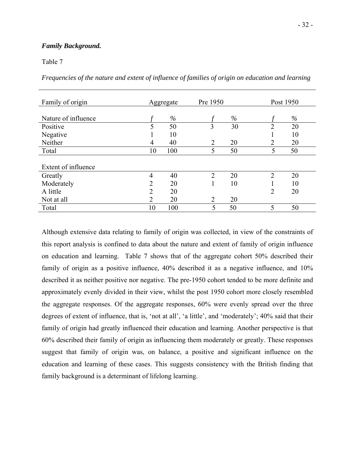### *Family Background.*

Table 7

*Frequencies of the nature and extent of influence of families of origin on education and learning*

| Family of origin    |                | Aggregate | Pre 1950       |      | Post 1950 |      |
|---------------------|----------------|-----------|----------------|------|-----------|------|
| Nature of influence |                | $\%$      |                | $\%$ |           | $\%$ |
| Positive            | 5              | 50        | 3              | 30   | ↑         | 20   |
| Negative            |                | 10        |                |      |           | 10   |
| Neither             | 4              | 40        | $\overline{2}$ | 20   | າ         | 20   |
| Total               | 10             | 100       | 5              | 50   | 5         | 50   |
|                     |                |           |                |      |           |      |
| Extent of influence |                |           |                |      |           |      |
| Greatly             | $\overline{4}$ | 40        | ↑              | 20   | ↑         | 20   |
| Moderately          | $\overline{2}$ | 20        |                | 10   |           | 10   |
| A little            | 2              | 20        |                |      | 2         | 20   |
| Not at all          | $\overline{2}$ | 20        | $\overline{2}$ | 20   |           |      |
| Total               | 10             | 100       |                | 50   | 5         | 50   |

Although extensive data relating to family of origin was collected, in view of the constraints of this report analysis is confined to data about the nature and extent of family of origin influence on education and learning. Table 7 shows that of the aggregate cohort 50% described their family of origin as a positive influence, 40% described it as a negative influence, and 10% described it as neither positive nor negative. The pre-1950 cohort tended to be more definite and approximately evenly divided in their view, whilst the post 1950 cohort more closely resembled the aggregate responses. Of the aggregate responses, 60% were evenly spread over the three degrees of extent of influence, that is, 'not at all', 'a little', and 'moderately'; 40% said that their family of origin had greatly influenced their education and learning. Another perspective is that 60% described their family of origin as influencing them moderately or greatly. These responses suggest that family of origin was, on balance, a positive and significant influence on the education and learning of these cases. This suggests consistency with the British finding that family background is a determinant of lifelong learning.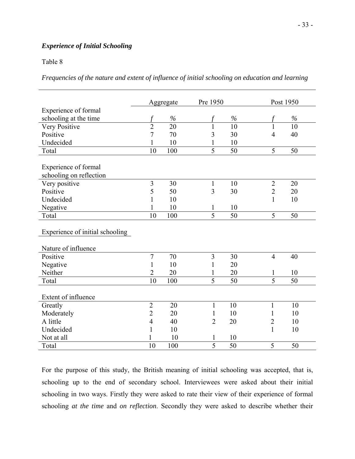### *Experience of Initial Schooling*

### Table 8

*Frequencies of the nature and extent of influence of initial schooling on education and learning* 

|                                 |                | Aggregate     | Pre 1950       |      | Post 1950      |      |
|---------------------------------|----------------|---------------|----------------|------|----------------|------|
| Experience of formal            |                |               |                |      |                |      |
| schooling at the time           |                | $\frac{0}{0}$ |                | $\%$ |                | $\%$ |
| Very Positive                   | $\overline{2}$ | 20            | 1              | 10   | 1              | 10   |
| Positive                        | $\overline{7}$ | 70            | 3              | 30   | $\overline{4}$ | 40   |
| Undecided                       | 1              | 10            | 1              | 10   |                |      |
| Total                           | 10             | 100           | $\overline{5}$ | 50   | 5              | 50   |
|                                 |                |               |                |      |                |      |
| Experience of formal            |                |               |                |      |                |      |
| schooling on reflection         |                |               |                |      |                |      |
| Very positive                   | $\overline{3}$ | 30            | $\mathbf{1}$   | 10   | $\overline{2}$ | 20   |
| Positive                        | 5              | 50            | 3              | 30   | $\overline{2}$ | 20   |
| Undecided                       | 1              | 10            |                |      | 1              | 10   |
| Negative                        | 1              | 10            | 1              | 10   |                |      |
| Total                           | 10             | 100           | 5              | 50   | 5              | 50   |
|                                 |                |               |                |      |                |      |
| Experience of initial schooling |                |               |                |      |                |      |
|                                 |                |               |                |      |                |      |
| Nature of influence             |                |               |                |      |                |      |
| Positive                        | $\overline{7}$ | 70            | $\overline{3}$ | 30   | $\overline{4}$ | 40   |
| Negative                        | 1              | 10            | 1              | 20   |                |      |
| Neither                         | $\overline{2}$ | 20            | 1              | 20   | 1              | 10   |
| Total                           | 10             | 100           | 5              | 50   | $\overline{5}$ | 50   |
|                                 |                |               |                |      |                |      |
| Extent of influence             |                |               |                |      |                |      |
| Greatly                         | $\overline{2}$ | 20            | 1              | 10   | 1              | 10   |
| Moderately                      | $\overline{2}$ | 20            | 1              | 10   | 1              | 10   |
| A little                        | $\overline{4}$ | 40            | $\overline{2}$ | 20   | $\overline{2}$ | 10   |
| Undecided                       | 1              | 10            |                |      | 1              | 10   |
| Not at all                      |                | 10            | 1              | 10   |                |      |
| Total                           | 10             | 100           | $\overline{5}$ | 50   | 5              | 50   |

For the purpose of this study, the British meaning of initial schooling was accepted, that is, schooling up to the end of secondary school. Interviewees were asked about their initial schooling in two ways. Firstly they were asked to rate their view of their experience of formal schooling *at the time* and *on reflection*. Secondly they were asked to describe whether their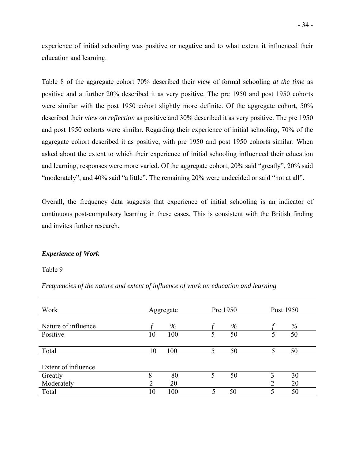experience of initial schooling was positive or negative and to what extent it influenced their education and learning.

Table 8 of the aggregate cohort 70% described their *view* of formal schooling *at the time* as positive and a further 20% described it as very positive. The pre 1950 and post 1950 cohorts were similar with the post 1950 cohort slightly more definite. Of the aggregate cohort, 50% described their *view on reflection* as positive and 30% described it as very positive. The pre 1950 and post 1950 cohorts were similar. Regarding their experience of initial schooling, 70% of the aggregate cohort described it as positive, with pre 1950 and post 1950 cohorts similar. When asked about the extent to which their experience of initial schooling influenced their education and learning, responses were more varied. Of the aggregate cohort, 20% said "greatly", 20% said "moderately", and 40% said "a little". The remaining 20% were undecided or said "not at all".

Overall, the frequency data suggests that experience of initial schooling is an indicator of continuous post-compulsory learning in these cases. This is consistent with the British finding and invites further research.

### *Experience of Work*

Table 9

*Frequencies of the nature and extent of influence of work on education and learning* 

| Work                |                | Aggregate | Pre 1950 |      | Post 1950 |    |
|---------------------|----------------|-----------|----------|------|-----------|----|
| Nature of influence |                | %         |          | $\%$ |           | %  |
| Positive            | 10             | 100       | 5        | 50   |           | 50 |
| Total               | 10             | 100       | 5        | 50   |           | 50 |
| Extent of influence |                |           |          |      |           |    |
| Greatly             | 8              | 80        | 5        | 50   | 3         | 30 |
| Moderately          | $\overline{2}$ | 20        |          |      | ↑         | 20 |
| Total               | 10             | 100       |          | 50   |           | 50 |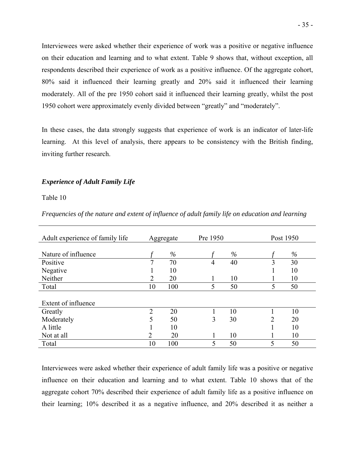Interviewees were asked whether their experience of work was a positive or negative influence on their education and learning and to what extent. Table 9 shows that, without exception, all respondents described their experience of work as a positive influence. Of the aggregate cohort, 80% said it influenced their learning greatly and 20% said it influenced their learning moderately. All of the pre 1950 cohort said it influenced their learning greatly, whilst the post 1950 cohort were approximately evenly divided between "greatly" and "moderately".

In these cases, the data strongly suggests that experience of work is an indicator of later-life learning. At this level of analysis, there appears to be consistency with the British finding, inviting further research.

### *Experience of Adult Family Life*

### Table 10

| Adult experience of family life |                | Aggregate | Pre 1950 |      | Post 1950 |      |
|---------------------------------|----------------|-----------|----------|------|-----------|------|
|                                 |                |           |          |      |           |      |
| Nature of influence             |                | $\%$      |          | $\%$ |           | $\%$ |
| Positive                        | 7              | 70        | 4        | 40   | 3         | 30   |
| Negative                        |                | 10        |          |      |           | 10   |
| Neither                         | 2              | 20        |          | 10   |           | 10   |
| Total                           | 10             | 100       | 5        | 50   | 5         | 50   |
|                                 |                |           |          |      |           |      |
| Extent of influence             |                |           |          |      |           |      |
| Greatly                         | $\overline{2}$ | 20        |          | 10   |           | 10   |
| Moderately                      | 5              | 50        | 3        | 30   | 2         | 20   |
| A little                        |                | 10        |          |      |           | 10   |
| Not at all                      | 2              | 20        |          | 10   |           | 10   |
| Total                           | 10             | 100       | 5        | 50   | 5         | 50   |

*Frequencies of the nature and extent of influence of adult family life on education and learning* 

Interviewees were asked whether their experience of adult family life was a positive or negative influence on their education and learning and to what extent. Table 10 shows that of the aggregate cohort 70% described their experience of adult family life as a positive influence on their learning; 10% described it as a negative influence, and 20% described it as neither a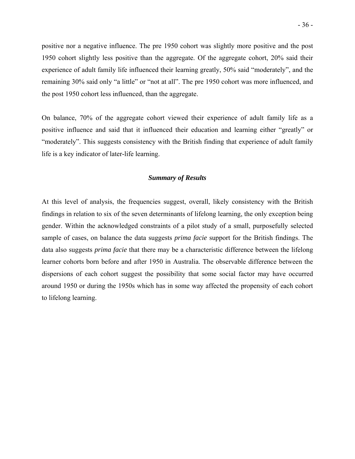positive nor a negative influence. The pre 1950 cohort was slightly more positive and the post 1950 cohort slightly less positive than the aggregate. Of the aggregate cohort, 20% said their experience of adult family life influenced their learning greatly, 50% said "moderately", and the remaining 30% said only "a little" or "not at all". The pre 1950 cohort was more influenced, and the post 1950 cohort less influenced, than the aggregate.

On balance, 70% of the aggregate cohort viewed their experience of adult family life as a positive influence and said that it influenced their education and learning either "greatly" or "moderately". This suggests consistency with the British finding that experience of adult family life is a key indicator of later-life learning.

### *Summary of Results*

At this level of analysis, the frequencies suggest, overall, likely consistency with the British findings in relation to six of the seven determinants of lifelong learning, the only exception being gender. Within the acknowledged constraints of a pilot study of a small, purposefully selected sample of cases, on balance the data suggests *prima facie* support for the British findings. The data also suggests *prima facie* that there may be a characteristic difference between the lifelong learner cohorts born before and after 1950 in Australia. The observable difference between the dispersions of each cohort suggest the possibility that some social factor may have occurred around 1950 or during the 1950s which has in some way affected the propensity of each cohort to lifelong learning.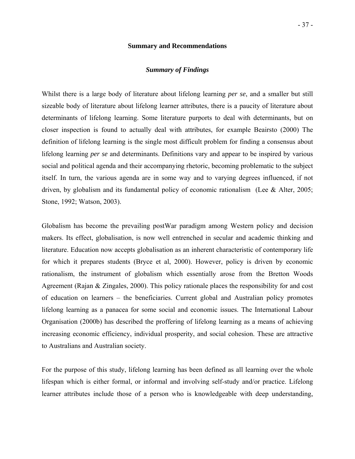#### **Summary and Recommendations**

### *Summary of Findings*

Whilst there is a large body of literature about lifelong learning *per se*, and a smaller but still sizeable body of literature about lifelong learner attributes, there is a paucity of literature about determinants of lifelong learning. Some literature purports to deal with determinants, but on closer inspection is found to actually deal with attributes, for example Beairsto (2000) The definition of lifelong learning is the single most difficult problem for finding a consensus about lifelong learning *per se* and determinants. Definitions vary and appear to be inspired by various social and political agenda and their accompanying rhetoric, becoming problematic to the subject itself. In turn, the various agenda are in some way and to varying degrees influenced, if not driven, by globalism and its fundamental policy of economic rationalism (Lee & Alter, 2005; Stone, 1992; Watson, 2003).

Globalism has become the prevailing postWar paradigm among Western policy and decision makers. Its effect, globalisation, is now well entrenched in secular and academic thinking and literature. Education now accepts globalisation as an inherent characteristic of contemporary life for which it prepares students (Bryce et al, 2000). However, policy is driven by economic rationalism, the instrument of globalism which essentially arose from the Bretton Woods Agreement (Rajan & Zingales, 2000). This policy rationale places the responsibility for and cost of education on learners – the beneficiaries. Current global and Australian policy promotes lifelong learning as a panacea for some social and economic issues. The International Labour Organisation (2000b) has described the proffering of lifelong learning as a means of achieving increasing economic efficiency, individual prosperity, and social cohesion. These are attractive to Australians and Australian society.

For the purpose of this study, lifelong learning has been defined as all learning over the whole lifespan which is either formal, or informal and involving self-study and/or practice. Lifelong learner attributes include those of a person who is knowledgeable with deep understanding,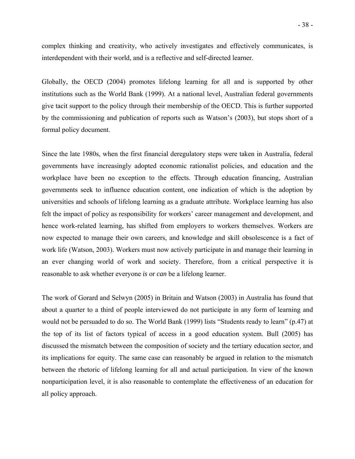complex thinking and creativity, who actively investigates and effectively communicates, is interdependent with their world, and is a reflective and self-directed learner.

Globally, the OECD (2004) promotes lifelong learning for all and is supported by other institutions such as the World Bank (1999). At a national level, Australian federal governments give tacit support to the policy through their membership of the OECD. This is further supported by the commissioning and publication of reports such as Watson's (2003), but stops short of a formal policy document.

Since the late 1980s, when the first financial deregulatory steps were taken in Australia, federal governments have increasingly adopted economic rationalist policies, and education and the workplace have been no exception to the effects. Through education financing, Australian governments seek to influence education content, one indication of which is the adoption by universities and schools of lifelong learning as a graduate attribute. Workplace learning has also felt the impact of policy as responsibility for workers' career management and development, and hence work-related learning, has shifted from employers to workers themselves. Workers are now expected to manage their own careers, and knowledge and skill obsolescence is a fact of work life (Watson, 2003). Workers must now actively participate in and manage their learning in an ever changing world of work and society. Therefore, from a critical perspective it is reasonable to ask whether everyone *is* or *can* be a lifelong learner.

The work of Gorard and Selwyn (2005) in Britain and Watson (2003) in Australia has found that about a quarter to a third of people interviewed do not participate in any form of learning and would not be persuaded to do so. The World Bank (1999) lists "Students ready to learn" (p.47) at the top of its list of factors typical of access in a good education system. Bull (2005) has discussed the mismatch between the composition of society and the tertiary education sector, and its implications for equity. The same case can reasonably be argued in relation to the mismatch between the rhetoric of lifelong learning for all and actual participation. In view of the known nonparticipation level, it is also reasonable to contemplate the effectiveness of an education for all policy approach.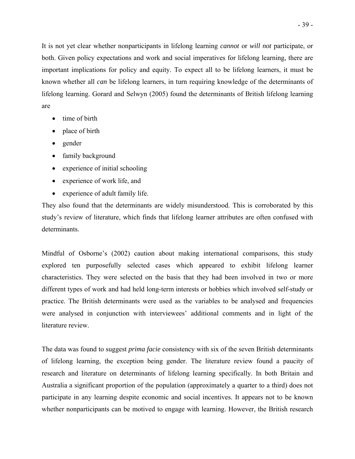It is not yet clear whether nonparticipants in lifelong learning *cannot* or *will not* participate, or both. Given policy expectations and work and social imperatives for lifelong learning, there are important implications for policy and equity. To expect all to be lifelong learners, it must be known whether all *can* be lifelong learners, in turn requiring knowledge of the determinants of lifelong learning. Gorard and Selwyn (2005) found the determinants of British lifelong learning are

- time of birth
- place of birth
- gender
- family background
- experience of initial schooling
- experience of work life, and
- experience of adult family life.

They also found that the determinants are widely misunderstood. This is corroborated by this study's review of literature, which finds that lifelong learner attributes are often confused with determinants.

Mindful of Osborne's (2002) caution about making international comparisons, this study explored ten purposefully selected cases which appeared to exhibit lifelong learner characteristics. They were selected on the basis that they had been involved in two or more different types of work and had held long-term interests or hobbies which involved self-study or practice. The British determinants were used as the variables to be analysed and frequencies were analysed in conjunction with interviewees' additional comments and in light of the literature review.

The data was found to suggest *prima facie* consistency with six of the seven British determinants of lifelong learning, the exception being gender. The literature review found a paucity of research and literature on determinants of lifelong learning specifically. In both Britain and Australia a significant proportion of the population (approximately a quarter to a third) does not participate in any learning despite economic and social incentives. It appears not to be known whether nonparticipants can be motived to engage with learning. However, the British research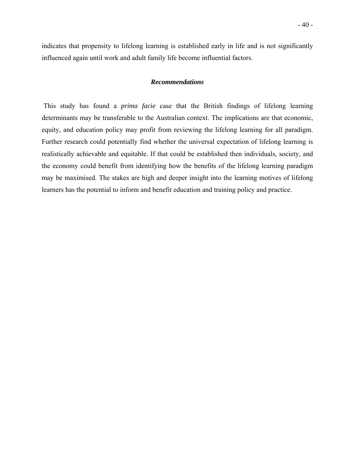indicates that propensity to lifelong learning is established early in life and is not significantly influenced again until work and adult family life become influential factors.

#### *Recommendations*

 This study has found a *prima facie* case that the British findings of lifelong learning determinants may be transferable to the Australian context. The implications are that economic, equity, and education policy may profit from reviewing the lifelong learning for all paradigm. Further research could potentially find whether the universal expectation of lifelong learning is realistically achievable and equitable. If that could be established then individuals, society, and the economy could benefit from identifying how the benefits of the lifelong learning paradigm may be maximised. The stakes are high and deeper insight into the learning motives of lifelong learners has the potential to inform and benefit education and training policy and practice.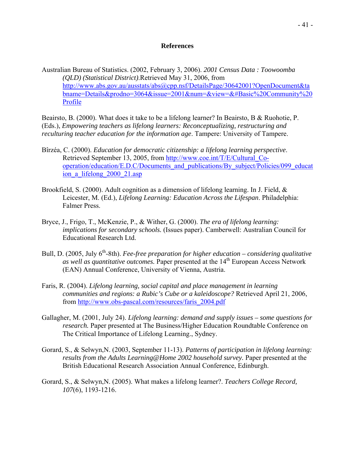### **References**

Australian Bureau of Statistics. (2002, February 3, 2006). *2001 Census Data : Toowoomba (QLD) (Statistical District)*.Retrieved May 31, 2006, from [http://www.abs.gov.au/ausstats/abs@cpp.nsf/DetailsPage/30642001?OpenDocument&ta](http://www.abs.gov.au/ausstats/abs@cpp.nsf/DetailsPage/30642001?OpenDocument&tabname=Details&prodno=3064&issue=2001&num=&view=&#Basic%20Community%20Profile) [bname=Details&prodno=3064&issue=2001&num=&view=&#Basic%20Community%20](http://www.abs.gov.au/ausstats/abs@cpp.nsf/DetailsPage/30642001?OpenDocument&tabname=Details&prodno=3064&issue=2001&num=&view=&#Basic%20Community%20Profile) [Profile](http://www.abs.gov.au/ausstats/abs@cpp.nsf/DetailsPage/30642001?OpenDocument&tabname=Details&prodno=3064&issue=2001&num=&view=&#Basic%20Community%20Profile)

Beairsto, B. (2000). What does it take to be a lifelong learner? In Beairsto, B & Ruohotie, P. (Eds.), *Empowering teachers as lifelong learners: Reconceptualizing, restructuring and reculturing teacher education for the information age*. Tampere: University of Tampere.

- Bîrzéa, C. (2000). *Education for democratic citizenship: a lifelong learning perspective*. Retrieved September 13, 2005, from [http://www.coe.int/T/E/Cultural\\_Co](http://www.coe.int/T/E/Cultural_Co-operation/education/E.D.C/Documents_and_publications/By_subject/Policies/099_education_a_lifelong_2000_21.asp)operation/education/E.D.C/Documents and publications/By subject/Policies/099 educat ion a lifelong 2000 21.asp
- Brookfield, S. (2000). Adult cognition as a dimension of lifelong learning. In J. Field, & Leicester, M. (Ed.), *Lifelong Learning: Education Across the Lifespan*. Philadelphia: Falmer Press.
- Bryce, J., Frigo, T., McKenzie, P., & Wither, G. (2000). *The era of lifelong learning: implications for secondary schools.* (Issues paper). Camberwell: Australian Council for Educational Research Ltd.
- Bull, D. (2005, July 6<sup>th</sup>-8th). *Fee-free preparation for higher education considering qualitative as well as quantitative outcomes.* Paper presented at the 14<sup>th</sup> European Access Network (EAN) Annual Conference, University of Vienna, Austria.
- Faris, R. (2004). *Lifelong learning, social capital and place management in learning communities and regions: a Rubic's Cube or a kaleidoscope?* Retrieved April 21, 2006, from [http://www.obs-pascal.com/resources/faris\\_2004.pdf](http://www.obs-pascal.com/resources/faris_2004.pdf)
- Gallagher, M. (2001, July 24). *Lifelong learning: demand and supply issues some questions for research.* Paper presented at The Business/Higher Education Roundtable Conference on The Critical Importance of Lifelong Learning., Sydney.
- Gorard, S., & Selwyn,N. (2003, September 11-13). *Patterns of participation in lifelong learning: results from the Adults Learning@Home 2002 household survey.* Paper presented at the British Educational Research Association Annual Conference, Edinburgh.
- Gorard, S., & Selwyn,N. (2005). What makes a lifelong learner?. *Teachers College Record, 107*(6), 1193-1216.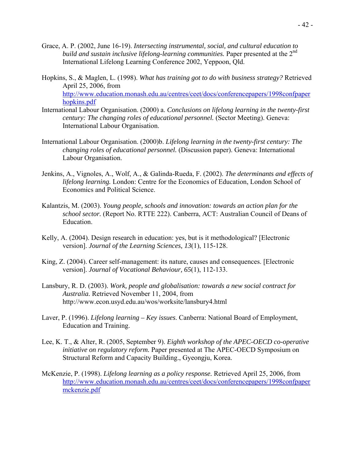- Grace, A. P. (2002, June 16-19). *Intersecting instrumental, social, and cultural education to build and sustain inclusive lifelong-learning communities.* Paper presented at the 2<sup>nd</sup> International Lifelong Learning Conference 2002, Yeppoon, Qld.
- Hopkins, S., & Maglen, L. (1998). *What has training got to do with business strategy?* Retrieved April 25, 2006, from [http://www.education.monash.edu.au/centres/ceet/docs/conferencepapers/1998confpaper](http://www.education.monash.edu.au/centres/ceet/docs/conferencepapers/1998confpaperhopkins.pdf) [hopkins.pdf](http://www.education.monash.edu.au/centres/ceet/docs/conferencepapers/1998confpaperhopkins.pdf)
- International Labour Organisation. (2000) a. *Conclusions on lifelong learning in the twenty-first century: The changing roles of educational personnel.* (Sector Meeting). Geneva: International Labour Organisation.
- International Labour Organisation. (2000)b. *Lifelong learning in the twenty-first century: The changing roles of educational personnel.* (Discussion paper). Geneva: International Labour Organisation.
- Jenkins, A., Vignoles, A., Wolf, A., & Galinda-Rueda, F. (2002). *The determinants and effects of lifelong learning.* London: Centre for the Economics of Education, London School of Economics and Political Science.
- Kalantzis, M. (2003). *Young people, schools and innovation: towards an action plan for the school sector.* (Report No. RTTE 222). Canberra, ACT: Australian Council of Deans of Education.
- Kelly, A. (2004). Design research in education: yes, but is it methodological? [Electronic version]. *Journal of the Learning Sciences, 13*(1), 115-128.
- King, Z. (2004). Career self-management: its nature, causes and consequences. [Electronic version]. *Journal of Vocational Behaviour, 65*(1), 112-133.
- Lansbury, R. D. (2003). *Work, people and globalisation: towards a new social contract for Australia.* Retrieved November 11, 2004, from http://www.econ.usyd.edu.au/wos/worksite/lansbury4.html
- Laver, P. (1996). *Lifelong learning Key issues*. Canberra: National Board of Employment, Education and Training.
- Lee, K. T., & Alter, R. (2005, September 9). *Eighth workshop of the APEC-OECD co-operative initiative on regulatory reform.* Paper presented at The APEC-OECD Symposium on Structural Reform and Capacity Building., Gyeongju, Korea.
- McKenzie, P. (1998). *Lifelong learning as a policy response.* Retrieved April 25, 2006, from [http://www.education.monash.edu.au/centres/ceet/docs/conferencepapers/1998confpaper](http://www.education.monash.edu.au/centres/ceet/docs/conferencepapers/1998confpapermckenzie.pdf) [mckenzie.pdf](http://www.education.monash.edu.au/centres/ceet/docs/conferencepapers/1998confpapermckenzie.pdf)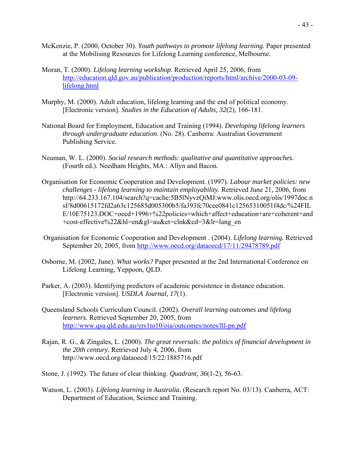- McKenzie, P. (2000, October 30). *Youth pathways to promote lifelong learning.* Paper presented at the Mobilising Resources for Lifelong Learning conference, Melbourne.
- Moran, T. (2000). *Lifelong learning workshop.* Retrieved April 25, 2006, from [http://education.qld.gov.au/publication/production/reports/html/archive/2000-03-09](http://education.qld.gov.au/publication/production/reports/html/archive/2000-03-09-lifelong.html) [lifelong.html](http://education.qld.gov.au/publication/production/reports/html/archive/2000-03-09-lifelong.html)
- Murphy, M. (2000). Adult education, lifelong learning and the end of political economy. [Electronic version]. *Studies in the Education of Adults, 32*(2), 166-181.
- National Board for Employment, Education and Training (1994). *Developing lifelong learners through undergraduate education.* (No. 28). Canberra: Australian Government Publishing Service.
- Neuman, W. L. (2000). *Social research methods: qualitative and quantitative approaches.* (Fourth ed.). Needham Heights, MA.: Allyn and Bacon.
- Organisation for Economic Cooperation and Development. (1997). *Labour market policies: new challenges - lifelong learning to maintain employability.* Retrieved June 21, 2006, from http://64.233.167.104/search?q=cache:5B5lNyvzQiMJ:www.olis.oecd.org/olis/1997doc.n sf/8d00615172fd2a63c125685d005300b5/fa393fc70cee0841c12565310051f4dc/%24FIL E/10E75123.DOC+oecd+1996+%22policies+which+affect+education+are+coherent+and +cost-effective%22&hl=en&gl=au&ct=clnk&cd=3&lr=lang\_en
- Organisation for Economic Cooperation and Development . (2004). *Lifelong learning.* Retrieved September 20, 2005, from <http://www.oecd.org/dataoecd/17/11/29478789.pdf>
- Osborne, M. (2002, June). *What works?* Paper presented at the 2nd International Conference on Lifelong Learning, Yeppoon, QLD.
- Parker, A. (2003). Identifying predictors of academic persistence in distance education. [Electronic version]. *USDLA Journal, 17*(1).
- Queensland Schools Curriculum Council. (2002). *Overall learning outcomes and lifelong learners.* Retrieved September 20, 2005, from <http://www.qsa.qld.edu.au/yrs1to10/oia/outcomes/notes/lll-pn.pdf>
- Rajan, R. G., & Zingales, L. (2000). *The great reversals: the politics of financial development in the 20th century.* Retrieved July 4, 2006, from http://www.oecd.org/dataoecd/15/22/1885716.pdf
- Stone, J. (1992). The future of clear thinking. *Quadrant, 36*(1-2), 56-63.
- Watson, L. (2003). *Lifelong learning in Australia.* (Research report No. 03/13). Canberra, ACT: Department of Education, Science and Training.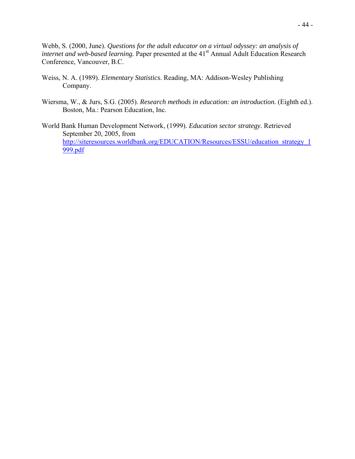Webb, S. (2000, June). *Questions for the adult educator on a virtual odyssey: an analysis of internet and web-based learning.* Paper presented at the 41<sup>st</sup> Annual Adult Education Research Conference, Vancouver, B.C.

- Weiss, N. A. (1989). *Elementary Statistics*. Reading, MA: Addison-Wesley Publishing Company.
- Wiersma, W., & Jurs, S.G. (2005). *Research methods in education: an introduction.* (Eighth ed.). Boston, Ma.: Pearson Education, Inc.
- World Bank Human Development Network, (1999). *Education sector strategy.* Retrieved September 20, 2005, from [http://siteresources.worldbank.org/EDUCATION/Resources/ESSU/education\\_strategy\\_1](http://siteresources.worldbank.org/EDUCATION/Resources/ESSU/education_strategy_1999.pdf) [999.pdf](http://siteresources.worldbank.org/EDUCATION/Resources/ESSU/education_strategy_1999.pdf)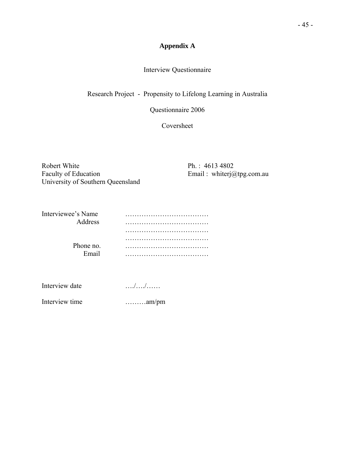# **Appendix A**

### Interview Questionnaire

Research Project - Propensity to Lifelong Learning in Australia

Questionnaire 2006

Coversheet

Robert White<br>
Faculty of Education<br>
Faculty of Education<br>
Faculty of Education<br>
Results 202 University of Southern Queensland

Email : whiterj@tpg.com.au

| Interviewee's Name |  |
|--------------------|--|
| Address            |  |
|                    |  |
|                    |  |
| Phone no.          |  |
| Email              |  |

| Interview date | . / / |
|----------------|-------|
|                |       |

Interview time ………am/pm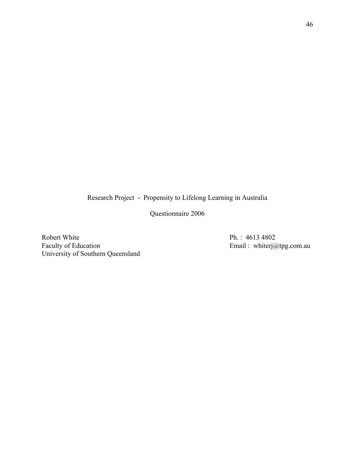Research Project - Propensity to Lifelong Learning in Australia

Questionnaire 2006

Robert White<br>
Faculty of Education<br>
Faculty of Education<br>
Ph. : 4613 4802<br>
Email : whiterj@ University of Southern Queensland

Email : whiterj@tpg.com.au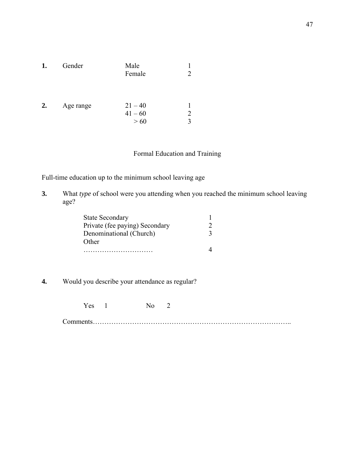| 1. | Gender    | Male<br>Female                |   |
|----|-----------|-------------------------------|---|
| 2. | Age range | $21 - 40$<br>$41 - 60$<br>>60 | 2 |

### Formal Education and Training

Full-time education up to the minimum school leaving age

**3.** What *type* of school were you attending when you reached the minimum school leaving age?

| <b>State Secondary</b>         |  |
|--------------------------------|--|
| Private (fee paying) Secondary |  |
| Denominational (Church)        |  |
| Other                          |  |
|                                |  |

- **4.** Would you describe your attendance as regular?
	- Yes 1 No 2

Comments…………………………………………………………………………..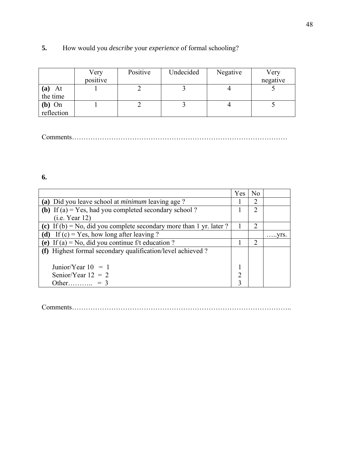# **5.** How would you *describe* your *experience* of formal schooling?

|            | Very     | Positive | Undecided | Negative | Very     |
|------------|----------|----------|-----------|----------|----------|
|            | positive |          |           |          | negative |
| At<br>(a)  |          |          |           |          |          |
| the time   |          |          |           |          |          |
| $(b)$ On   |          |          |           |          |          |
| reflection |          |          |           |          |          |

Comments…………………………………………………………………………………

**6.**

|                                                                     | Yes            | No                          |                 |
|---------------------------------------------------------------------|----------------|-----------------------------|-----------------|
| (a) Did you leave school at <i>minimum</i> leaving age?             |                | $\mathcal{D}_{\mathcal{A}}$ |                 |
| (b) If (a) = Yes, had you completed secondary school?               |                | 2                           |                 |
| (i.e. Year 12)                                                      |                |                             |                 |
| (c) If (b) = No, did you complete secondary more than 1 yr. later ? |                | $\sum_{i=1}^{n}$            |                 |
| (d) If $(c)$ = Yes, how long after leaving ?                        |                |                             | $\ldots$ . VIS. |
| (e) If (a) = No, did you continue f/t education ?                   |                | $\mathcal{D}_{\mathcal{L}}$ |                 |
| (f) Highest formal secondary qualification/level achieved?          |                |                             |                 |
|                                                                     |                |                             |                 |
| Junior/Year $10 = 1$                                                |                |                             |                 |
| Senior/Year $12 = 2$                                                | $\mathfrak{D}$ |                             |                 |
| Other = 3                                                           | 3              |                             |                 |

Comments…………………………………………………………………………………..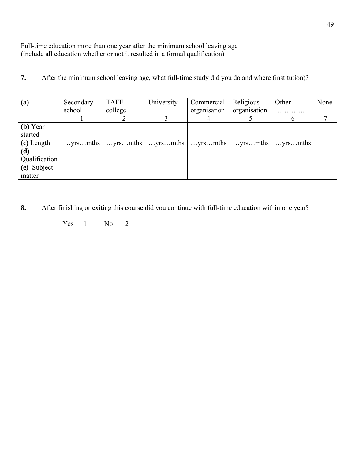Full-time education more than one year after the minimum school leaving age (include all education whether or not it resulted in a formal qualification)

**7.** After the minimum school leaving age, what full-time study did you do and where (institution)?

| (a)           | Secondary | <b>TAFE</b> | University | Commercial       | Religious    | Other   | None |
|---------------|-----------|-------------|------------|------------------|--------------|---------|------|
|               | school    | college     |            | organisation     | organisation | .       |      |
|               |           |             |            |                  |              | O       |      |
| (b) Year      |           |             |            |                  |              |         |      |
| started       |           |             |            |                  |              |         |      |
| (c) Length    | yrsmths   | yrsmths     | yrsmths    | $\dots$ yrs mths | yrsmths      | yrsmths |      |
| (d)           |           |             |            |                  |              |         |      |
| Qualification |           |             |            |                  |              |         |      |
| (e) Subject   |           |             |            |                  |              |         |      |
| matter        |           |             |            |                  |              |         |      |

**8.** After finishing or exiting this course did you continue with full-time education within one year?

Yes 1 No 2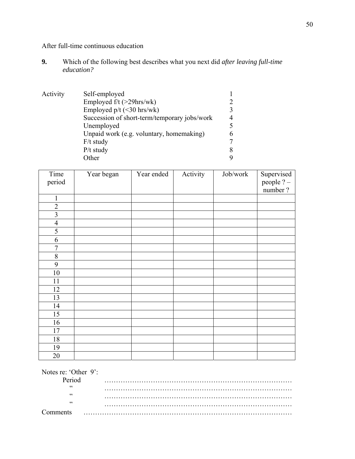After full-time continuous education

**9.** Which of the following best describes what you next did *after leaving full-time education?* 

| Activity | Self-employed                                |   |
|----------|----------------------------------------------|---|
|          | Employed f/t (>29hrs/wk)                     |   |
|          | Employed $p/t$ (<30 hrs/wk)                  |   |
|          | Succession of short-term/temporary jobs/work | 4 |
|          | Unemployed                                   |   |
|          | Unpaid work (e.g. voluntary, homemaking)     | 6 |
|          | $F/t$ study                                  |   |
|          | $P/t$ study                                  | 8 |
|          | Other                                        |   |

| Time<br>period          | Year began | Year ended | Activity | Job/work | Supervised<br>people ? -<br>number? |
|-------------------------|------------|------------|----------|----------|-------------------------------------|
| $\mathbf{1}$            |            |            |          |          |                                     |
| $\overline{2}$          |            |            |          |          |                                     |
| $\overline{\mathbf{3}}$ |            |            |          |          |                                     |
| $\overline{4}$          |            |            |          |          |                                     |
| 5                       |            |            |          |          |                                     |
| 6                       |            |            |          |          |                                     |
| 7                       |            |            |          |          |                                     |
| $8\,$                   |            |            |          |          |                                     |
| 9                       |            |            |          |          |                                     |
| 10                      |            |            |          |          |                                     |
| 11                      |            |            |          |          |                                     |
| 12                      |            |            |          |          |                                     |
| 13                      |            |            |          |          |                                     |
| 14                      |            |            |          |          |                                     |
| 15                      |            |            |          |          |                                     |
| 16                      |            |            |          |          |                                     |
| 17                      |            |            |          |          |                                     |
| 18                      |            |            |          |          |                                     |
| 19                      |            |            |          |          |                                     |
| 20                      |            |            |          |          |                                     |

| Notes re: 'Other 9': |  |
|----------------------|--|
| Period               |  |
| $\epsilon$           |  |
| cc                   |  |
| cc                   |  |
|                      |  |
| <b>Comments</b>      |  |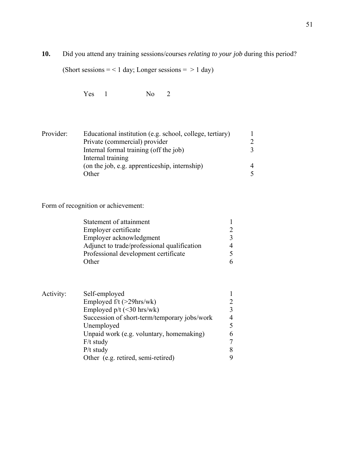**10.** Did you attend any training sessions/courses *relating to your job* during this period?

(Short sessions  $=$  < 1 day; Longer sessions  $=$  > 1 day)

Yes 1 No 2

| Provider: | Educational institution (e.g. school, college, tertiary) |                             |
|-----------|----------------------------------------------------------|-----------------------------|
|           | Private (commercial) provider                            | $\mathcal{D}_{\mathcal{L}}$ |
|           | Internal formal training (off the job)                   |                             |
|           | Internal training                                        |                             |
|           | (on the job, e.g. apprenticeship, internship)            |                             |
|           | Other                                                    |                             |

Form of recognition or achievement:

| Statement of attainment                     |  |
|---------------------------------------------|--|
| Employer certificate                        |  |
| Employer acknowledgment                     |  |
| Adjunct to trade/professional qualification |  |
| Professional development certificate        |  |
| Other                                       |  |

| Activity: | Self-employed                                |   |
|-----------|----------------------------------------------|---|
|           | Employed $f/t$ ( $>29$ hrs/wk)               |   |
|           | Employed $p/t$ (<30 hrs/wk)                  |   |
|           | Succession of short-term/temporary jobs/work |   |
|           | Unemployed                                   |   |
|           | Unpaid work (e.g. voluntary, homemaking)     | 6 |
|           | $F/t$ study                                  | 7 |
|           | $P/t$ study                                  |   |
|           | Other (e.g. retired, semi-retired)           |   |
|           |                                              |   |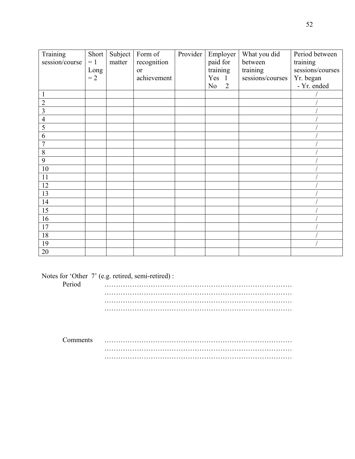| Training       | Short | Subject | Form of     | Provider | Employer | What you did     | Period between   |
|----------------|-------|---------|-------------|----------|----------|------------------|------------------|
| session/course | $= 1$ | matter  | recognition |          | paid for | between          | training         |
|                | Long  |         | or          |          | training | training         | sessions/courses |
|                | $= 2$ |         | achievement |          | Yes 1    | sessions/courses | Yr. began        |
|                |       |         |             |          | 2<br>No  |                  | - Yr. ended      |
|                |       |         |             |          |          |                  |                  |
| $\overline{2}$ |       |         |             |          |          |                  |                  |
| 3              |       |         |             |          |          |                  |                  |
| 4              |       |         |             |          |          |                  |                  |
| 5              |       |         |             |          |          |                  |                  |
| 6              |       |         |             |          |          |                  |                  |
| 7              |       |         |             |          |          |                  |                  |
| 8              |       |         |             |          |          |                  |                  |
| 9              |       |         |             |          |          |                  |                  |
| 10             |       |         |             |          |          |                  |                  |
| 11             |       |         |             |          |          |                  |                  |
| 12             |       |         |             |          |          |                  |                  |
| 13             |       |         |             |          |          |                  |                  |
| 14             |       |         |             |          |          |                  |                  |
| 15             |       |         |             |          |          |                  |                  |
| 16             |       |         |             |          |          |                  |                  |
| 17             |       |         |             |          |          |                  |                  |
| 18             |       |         |             |          |          |                  |                  |
| 19             |       |         |             |          |          |                  |                  |
| 20             |       |         |             |          |          |                  |                  |

Notes for 'Other 7' (e.g. retired, semi-retired) :

| Period |  |
|--------|--|
|        |  |
|        |  |
|        |  |

| Comments | . |
|----------|---|
|          | . |
|          | . |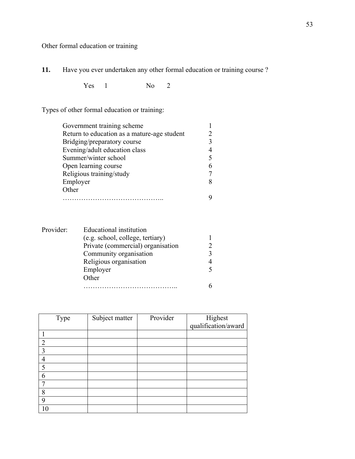Other formal education or training

**11.** Have you ever undertaken any other formal education or training course ?

Yes 1 No 2

Types of other formal education or training:

| Government training scheme                  |  |
|---------------------------------------------|--|
| Return to education as a mature-age student |  |
| Bridging/preparatory course                 |  |
| Evening/adult education class               |  |
| Summer/winter school                        |  |
| Open learning course                        |  |
| Religious training/study                    |  |
| Employer                                    |  |
| Other                                       |  |
|                                             |  |
|                                             |  |

| Provider: | Educational institution           |  |
|-----------|-----------------------------------|--|
|           | (e.g. school, college, tertiary)  |  |
|           | Private (commercial) organisation |  |
|           | Community organisation            |  |
|           | Religious organisation            |  |
|           | Employer                          |  |
|           | Other                             |  |
|           |                                   |  |

|                | Type | Subject matter | Provider | Highest<br>qualification/award |
|----------------|------|----------------|----------|--------------------------------|
|                |      |                |          |                                |
|                |      |                |          |                                |
| $\overline{2}$ |      |                |          |                                |
| 3              |      |                |          |                                |
| 4              |      |                |          |                                |
| 5              |      |                |          |                                |
| 6              |      |                |          |                                |
| ┑              |      |                |          |                                |
| 8              |      |                |          |                                |
| 9              |      |                |          |                                |
| 10             |      |                |          |                                |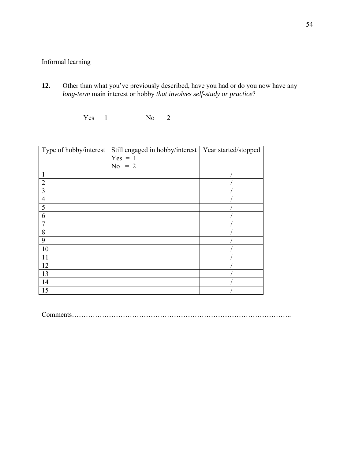## Informal learning

**12.** Other than what you've previously described, have you had or do you now have any *long-term* main interest or hobby *that involves self-study or practice*?

Yes 1 No 2

| Type of hobby/interest | Still engaged in hobby/interest   Year started/stopped |  |
|------------------------|--------------------------------------------------------|--|
|                        | $Yes = 1$                                              |  |
|                        | $No = 2$                                               |  |
|                        |                                                        |  |
| $\overline{2}$         |                                                        |  |
| 3                      |                                                        |  |
| 4                      |                                                        |  |
| 5                      |                                                        |  |
| 6                      |                                                        |  |
|                        |                                                        |  |
| 8                      |                                                        |  |
| 9                      |                                                        |  |
| 10                     |                                                        |  |
| 11                     |                                                        |  |
| 12                     |                                                        |  |
| 13                     |                                                        |  |
| 14                     |                                                        |  |
| 15                     |                                                        |  |

Comments…………………………………………………………………………………..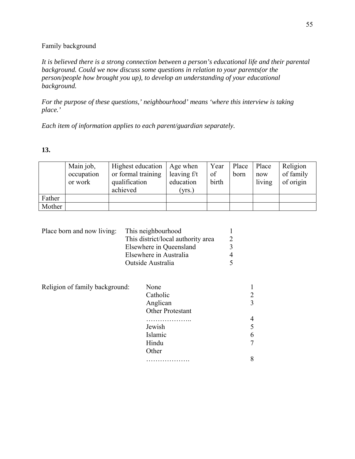### Family background

*It is believed there is a strong connection between a person's educational life and their parental background. Could we now discuss some questions in relation to your parents(or the person/people how brought you up), to develop an understanding of your educational background.* 

*For the purpose of these questions,' neighbourhood' means 'where this interview is taking place.'*

*Each item of information applies to each parent/guardian separately.*

### **13.**

|        | Main job,  | Highest education  | Age when      | Year  | Place | Place  | Religion  |
|--------|------------|--------------------|---------------|-------|-------|--------|-----------|
|        | occupation | or formal training | leaving $f/t$ | of    | born  | now    | of family |
|        | or work    | qualification      | education     | birth |       | living | of origin |
|        |            | achieved           | (yrs.)        |       |       |        |           |
| Father |            |                    |               |       |       |        |           |
| Mother |            |                    |               |       |       |        |           |

| This neighbourhood                 |                       |
|------------------------------------|-----------------------|
| This district/local authority area | $\mathcal{D}_{\cdot}$ |
| Elsewhere in Queensland            |                       |
| Elsewhere in Australia             | 4                     |
| Outside Australia                  |                       |
|                                    |                       |

| Religion of family background: | None             |   |
|--------------------------------|------------------|---|
|                                | Catholic         |   |
|                                | Anglican         | 3 |
|                                | Other Protestant |   |
|                                | .                | 4 |
|                                | Jewish           |   |
|                                | Islamic          | 6 |
|                                | Hindu            | 7 |
|                                | Other            |   |
|                                |                  | 8 |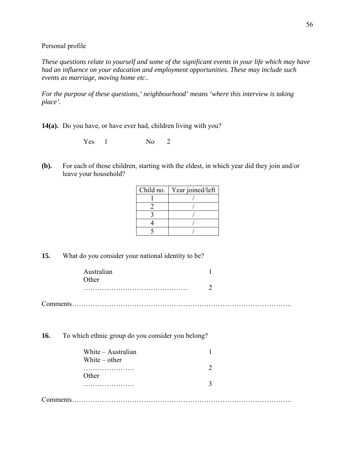Personal profile

*These questions relate to yourself and some of the significant events in your life which may have had an influence on your education and employment opportunities. These may include such events as marriage, moving home etc..* 

*For the purpose of these questions,' neighbourhood' means 'where this interview is taking place'.*

**14(a).** Do you have, or have ever had, children living with you?

Yes 1 No 2

**(b).** For each of those children, starting with the eldest, in which year did they join and/or leave your household?

| Child no. | Year joined/left |
|-----------|------------------|
|           |                  |
|           |                  |
|           |                  |
|           |                  |
|           |                  |

**15.** What do you consider your national identity to be?

| Australian |  |
|------------|--|
| Other      |  |
|            |  |
|            |  |

**16.** To which ethnic group do you consider you belong?

| White - Australian |  |
|--------------------|--|
| White $-$ other    |  |
|                    |  |
| Other              |  |
|                    |  |
|                    |  |

Comments…………………………………………………………………………………..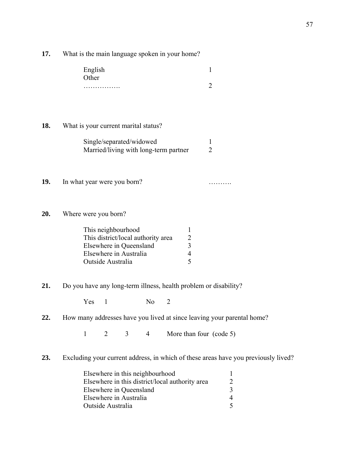**17.** What is the main language spoken in your home?

| English |  |
|---------|--|
| Other   |  |
| .       |  |

**18.** What is your current marital status?

| Single/separated/widowed              |  |  |  |
|---------------------------------------|--|--|--|
| Married/living with long-term partner |  |  |  |

- **19.** In what year were you born? ……….
- **20.** Where were you born?

| This neighbourhood                 |  |
|------------------------------------|--|
| This district/local authority area |  |
| Elsewhere in Queensland            |  |
| Elsewhere in Australia             |  |
| Outside Australia                  |  |

**21.** Do you have any long-term illness, health problem or disability?

Yes 1 No 2

**22.** How many addresses have you lived at since leaving your parental home?

 $1 \t2 \t3 \t4$  More than four (code 5)

**23.** Excluding your current address, in which of these areas have you previously lived?

| Elsewhere in this neighbourhood                 |  |
|-------------------------------------------------|--|
| Elsewhere in this district/local authority area |  |
| Elsewhere in Queensland                         |  |
| Elsewhere in Australia                          |  |
| Outside Australia                               |  |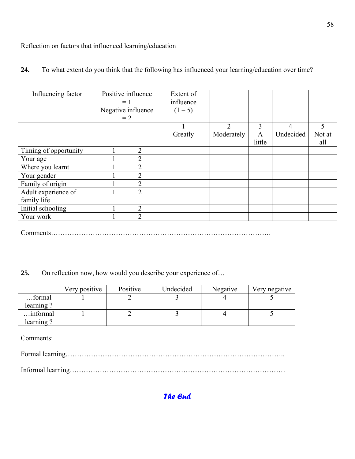Reflection on factors that influenced learning/education

| Influencing factor    | Positive influence<br>$= 1$<br>Negative influence<br>$=2$ | Extent of<br>influence<br>$(1-5)$ |                |        |                |        |
|-----------------------|-----------------------------------------------------------|-----------------------------------|----------------|--------|----------------|--------|
|                       |                                                           |                                   | $\overline{2}$ | 3      | $\overline{4}$ | 5      |
|                       |                                                           | Greatly                           | Moderately     | A      | Undecided      | Not at |
|                       |                                                           |                                   |                | little |                | all    |
| Timing of opportunity | $\overline{2}$                                            |                                   |                |        |                |        |
| Your age              | $\overline{2}$                                            |                                   |                |        |                |        |
| Where you learnt      | $\overline{2}$                                            |                                   |                |        |                |        |
| Your gender           | $\overline{2}$                                            |                                   |                |        |                |        |
| Family of origin      | $\overline{2}$                                            |                                   |                |        |                |        |
| Adult experience of   | $\overline{2}$                                            |                                   |                |        |                |        |
| family life           |                                                           |                                   |                |        |                |        |
| Initial schooling     | 2                                                         |                                   |                |        |                |        |
| Your work             | $\overline{2}$                                            |                                   |                |        |                |        |

**24.** To what extent do you think that the following has influenced your learning/education over time?

Comments…………………………………………………………………………………..

**25.** On reflection now, how would you describe your experience of…

|           | Very positive | Positive | Undecided | Negative | Very negative |
|-----------|---------------|----------|-----------|----------|---------------|
| formal    |               |          |           |          |               |
| learning? |               |          |           |          |               |
| informal  |               |          |           |          |               |
| learning? |               |          |           |          |               |

Comments:

Formal learning…………………………………………………………………………………..

Informal learning…………………………………………………………………………………

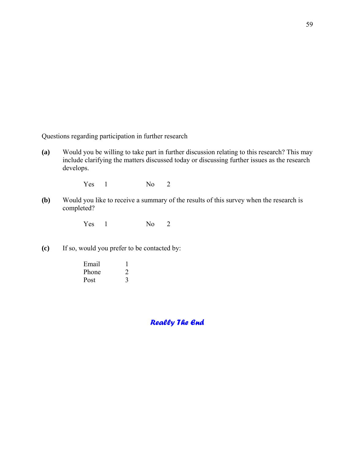Questions regarding participation in further research

**(a)** Would you be willing to take part in further discussion relating to this research? This may include clarifying the matters discussed today or discussing further issues as the research develops.

Yes 1 No 2

**(b)** Would you like to receive a summary of the results of this survey when the research is completed?

Yes 1 No 2

**(c)** If so, would you prefer to be contacted by:

| Email |  |
|-------|--|
| Phone |  |
| Post  |  |

*Really The End*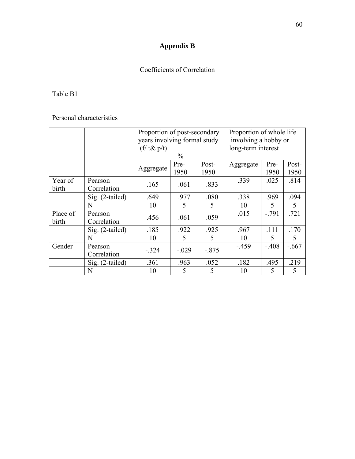# **Appendix B**

# Coefficients of Correlation

## Table B1

# Personal characteristics

|                   |                        | Proportion of post-secondary<br>years involving formal study |              |               | Proportion of whole life<br>involving a hobby or |                          |               |
|-------------------|------------------------|--------------------------------------------------------------|--------------|---------------|--------------------------------------------------|--------------------------|---------------|
|                   |                        | $(f / t \& p/t)$<br>$\frac{0}{0}$                            |              |               | long-term interest                               |                          |               |
|                   |                        | Aggregate                                                    | Pre-<br>1950 | Post-<br>1950 | Aggregate                                        | Pre-<br>1950             | Post-<br>1950 |
| Year of<br>birth  | Pearson<br>Correlation | .165                                                         | .061         | .833          | .339                                             | .025                     | .814          |
|                   | Sig. (2-tailed)        | .649                                                         | .977         | .080          | .338                                             | .969                     | .094          |
|                   | N                      | 10                                                           | 5            | 5             | 10                                               | $\overline{\mathcal{L}}$ | 5             |
| Place of<br>birth | Pearson<br>Correlation | .456                                                         | .061         | .059          | .015                                             | $-791$                   | .721          |
|                   | $Sig.$ (2-tailed)      | .185                                                         | .922         | .925          | .967                                             | .111                     | .170          |
|                   | N                      | 10                                                           | 5            | 5             | 10                                               | 5                        | 5             |
| Gender            | Pearson<br>Correlation | $-.324$                                                      | $-.029$      | $-.875$       | $-459$                                           | $-.408$                  | $-.667$       |
|                   | Sig. (2-tailed)        | .361                                                         | .963         | .052          | .182                                             | .495                     | .219          |
|                   | N                      | 10                                                           | 5            | 5             | 10                                               | 5                        | 5             |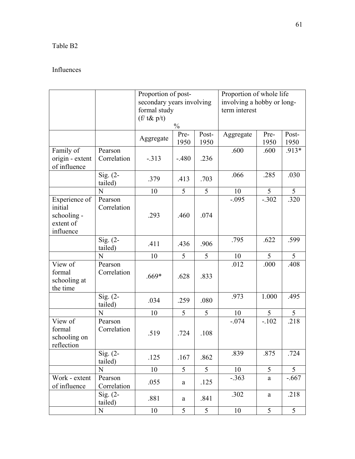# Table B2

# Influences

|                                                                   |                        | Proportion of post-<br>secondary years involving<br>formal study<br>$(f / t \& p/t)$ | $\%$         |               | Proportion of whole life<br>involving a hobby or long-<br>term interest |              |               |
|-------------------------------------------------------------------|------------------------|--------------------------------------------------------------------------------------|--------------|---------------|-------------------------------------------------------------------------|--------------|---------------|
|                                                                   |                        | Aggregate                                                                            | Pre-<br>1950 | Post-<br>1950 | Aggregate                                                               | Pre-<br>1950 | Post-<br>1950 |
| Family of<br>origin - extent<br>of influence                      | Pearson<br>Correlation | $-313$                                                                               | $-.480$      | .236          | .600                                                                    | .600         | .913*         |
|                                                                   | Sig. $(2-$<br>tailed)  | .379                                                                                 | .413         | .703          | .066                                                                    | .285         | .030          |
|                                                                   | N                      | 10                                                                                   | 5            | 5             | 10                                                                      | 5            | 5             |
| Experience of<br>initial<br>schooling -<br>extent of<br>influence | Pearson<br>Correlation | .293                                                                                 | .460         | .074          | $-.095$                                                                 | $-.302$      | .320          |
|                                                                   | Sig. $(2-$<br>tailed)  | .411                                                                                 | .436         | .906          | .795                                                                    | .622         | .599          |
|                                                                   | N                      | 10                                                                                   | 5            | 5             | 10                                                                      | 5            | 5             |
| View of<br>formal<br>schooling at<br>the time                     | Pearson<br>Correlation | $.669*$                                                                              | .628         | .833          | .012                                                                    | .000         | .408          |
|                                                                   | Sig. $(2-$<br>tailed)  | .034                                                                                 | .259         | .080          | .973                                                                    | 1.000        | .495          |
|                                                                   | N                      | 10                                                                                   | 5            | 5             | 10                                                                      | 5            | 5             |
| View of<br>formal<br>schooling on<br>reflection                   | Pearson<br>Correlation | .519                                                                                 | .724         | .108          | $-.074$                                                                 | $-.102$      | .218          |
|                                                                   | Sig. $(2-$<br>tailed)  | .125                                                                                 | .167         | .862          | .839                                                                    | .875         | .724          |
|                                                                   | $\mathbf N$            | 10                                                                                   | 5            | 5             | 10                                                                      | 5            | 5             |
| Work - extent<br>of influence                                     | Pearson<br>Correlation | .055                                                                                 | a            | .125          | $-.363$                                                                 | a            | $-.667$       |
|                                                                   | $Sig. (2 -$<br>tailed) | .881                                                                                 | $\mathbf{a}$ | .841          | .302                                                                    | $\mathbf{a}$ | .218          |
|                                                                   | ${\bf N}$              | 10                                                                                   | 5            | 5             | 10                                                                      | 5            | 5             |